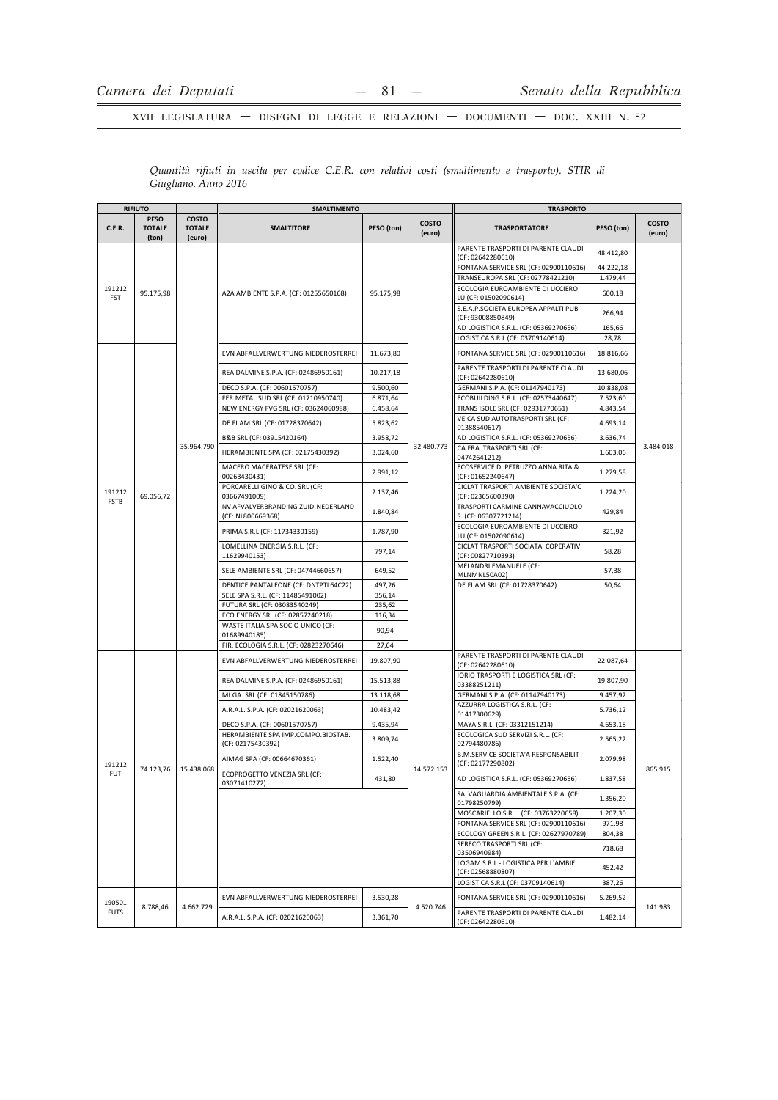|                       | <b>RIFIUTO</b>                        |                                         | <b>SMALTIMENTO</b>                                      |            |                        | <b>TRASPORTO</b>                                                |            |                        |
|-----------------------|---------------------------------------|-----------------------------------------|---------------------------------------------------------|------------|------------------------|-----------------------------------------------------------------|------------|------------------------|
| C.E.R.                | <b>PESO</b><br><b>TOTALE</b><br>(ton) | <b>COSTO</b><br><b>TOTALE</b><br>(euro) | <b>SMALTITORE</b>                                       | PESO (ton) | <b>COSTO</b><br>(euro) | <b>TRASPORTATORE</b>                                            | PESO (ton) | <b>COSTO</b><br>(euro) |
|                       |                                       |                                         |                                                         |            |                        | PARENTE TRASPORTI DI PARENTE CLAUDI<br>(CF: 02642280610)        | 48.412,80  |                        |
|                       |                                       |                                         |                                                         |            |                        | FONTANA SERVICE SRL (CF: 02900110616)                           | 44.222,18  |                        |
|                       |                                       |                                         |                                                         |            |                        | TRANSEUROPA SRL (CF: 02778421210)                               | 1.479,44   |                        |
| 191212<br>FST         | 95.175,98                             |                                         | A2A AMBIENTE S.P.A. (CF: 01255650168)                   | 95.175,98  |                        | ECOLOGIA EUROAMBIENTE DI UCCIERO<br>LU (CF: 01502090614)        | 600,18     |                        |
|                       |                                       |                                         |                                                         |            |                        | S.E.A.P.SOCIETA'EUROPEA APPALTI PUB<br>(CF: 93008850849)        | 266,94     |                        |
|                       |                                       |                                         |                                                         |            |                        | AD LOGISTICA S.R.L. (CF: 05369270656)                           | 165,66     |                        |
|                       |                                       |                                         |                                                         |            |                        | LOGISTICA S.R.L (CF: 03709140614)                               | 28,78      |                        |
|                       |                                       |                                         | EVN ABFALLVERWERTUNG NIEDEROSTERREI                     | 11.673,80  |                        | FONTANA SERVICE SRL (CF: 02900110616)                           | 18.816,66  |                        |
|                       |                                       |                                         | REA DALMINE S.P.A. (CF: 02486950161)                    | 10.217,18  |                        | PARENTE TRASPORTI DI PARENTE CLAUDI<br>(CF: 02642280610)        | 13.680,06  |                        |
|                       |                                       |                                         | DECO S.P.A. (CF: 00601570757)                           | 9.500,60   |                        | GERMANI S.P.A. (CF: 01147940173)                                | 10.838,08  |                        |
|                       |                                       |                                         | FER.METAL.SUD SRL (CF: 01710950740)                     | 6.871,64   |                        | ECOBUILDING S.R.L. (CF: 02573440647)                            | 7.523,60   |                        |
|                       |                                       |                                         | NEW ENERGY FVG SRL (CF: 03624060988)                    | 6.458,64   |                        | TRANS ISOLE SRL (CF: 02931770651)                               | 4.843,54   |                        |
|                       |                                       |                                         | DE.FI.AM.SRL (CF: 01728370642)                          | 5.823,62   |                        | VE.CA SUD AUTOTRASPORTI SRL (CF:<br>01388540617)                | 4.693,14   |                        |
|                       |                                       |                                         | B&B SRL (CF: 03915420164)                               | 3.958,72   |                        | AD LOGISTICA S.R.L. (CF: 05369270656)                           | 3.636,74   |                        |
|                       |                                       | 35.964.790                              | HERAMBIENTE SPA (CF: 02175430392)                       | 3.024,60   | 32.480.773             | CA.FRA. TRASPORTI SRL (CF:<br>04742641212)                      | 1.603,06   | 3.484.018              |
|                       |                                       |                                         | MACERO MACERATESE SRL (CF:<br>00263430431)              | 2.991,12   |                        | ECOSERVICE DI PETRUZZO ANNA RITA &<br>(CF: 01652240647)         | 1.279,58   |                        |
| 191212<br><b>FSTB</b> | 69.056,72                             |                                         | PORCARELLI GINO & CO. SRL (CF:<br>03667491009)          | 2.137,46   |                        | CICLAT TRASPORTI AMBIENTE SOCIETA'C<br>(CF: 02365600390)        | 1.224,20   |                        |
|                       |                                       |                                         | NV AFVALVERBRANDING ZUID-NEDERLAND<br>(CF: NL800669368) | 1.840,84   |                        | TRASPORTI CARMINE CANNAVACCIUOLO<br>S. (CF: 06307721214)        | 429,84     |                        |
|                       |                                       |                                         | PRIMA S.R.L (CF: 11734330159)                           | 1.787,90   |                        | ECOLOGIA EUROAMBIENTE DI UCCIERO<br>LU (CF: 01502090614)        | 321,92     |                        |
|                       |                                       |                                         | LOMELLINA ENERGIA S.R.L. (CF:<br>11629940153)           | 797,14     |                        | CICLAT TRASPORTI SOCIATA' COPERATIV<br>(CF: 00827710393)        | 58,28      |                        |
|                       |                                       |                                         | SELE AMBIENTE SRL (CF: 04744660657)                     | 649,52     |                        | MELANDRI EMANUELE (CF:<br>MLNMNL50A02)                          | 57,38      |                        |
|                       |                                       |                                         | DENTICE PANTALEONE (CF: DNTPTL64C22)                    | 497,26     |                        | DE.FI.AM SRL (CF: 01728370642)                                  | 50,64      |                        |
|                       |                                       |                                         | SELE SPA S.R.L. (CF: 11485491002)                       | 356,14     |                        |                                                                 |            |                        |
|                       |                                       |                                         | FUTURA SRL (CF: 03083540249)                            | 235,62     |                        |                                                                 |            |                        |
|                       |                                       |                                         | ECO ENERGY SRL (CF: 02857240218)                        | 116,34     |                        |                                                                 |            |                        |
|                       |                                       |                                         | WASTE ITALIA SPA SOCIO UNICO (CF:<br>01689940185)       | 90,94      |                        |                                                                 |            |                        |
|                       |                                       |                                         | FIR. ECOLOGIA S.R.L. (CF: 02823270646)                  | 27,64      |                        |                                                                 |            |                        |
|                       |                                       |                                         | EVN ABFALLVERWERTUNG NIEDEROSTERREI                     | 19.807,90  |                        | PARENTE TRASPORTI DI PARENTE CLAUDI<br>(CF: 02642280610)        | 22.087,64  |                        |
|                       |                                       |                                         | REA DALMINE S.P.A. (CF: 02486950161)                    | 15.513,88  |                        | IORIO TRASPORTI E LOGISTICA SRL (CF:<br>03388251211)            | 19.807,90  |                        |
|                       |                                       |                                         | MI.GA. SRL (CF: 01845150786)                            | 13.118,68  |                        | GERMANI S.P.A. (CF: 01147940173)                                | 9.457,92   |                        |
|                       |                                       |                                         | A.R.A.L. S.P.A. (CF: 02021620063)                       | 10.483,42  |                        | AZZURRA LOGISTICA S.R.L. (CF:<br>01417300629)                   | 5.736.12   |                        |
|                       |                                       |                                         | DECO S.P.A. (CF: 00601570757)                           | 9.435,94   |                        | MAYA S.R.L. (CF: 03312151214)                                   | 4.653,18   |                        |
|                       |                                       |                                         | HERAMBIENTE SPA IMP.COMPO.BIOSTAB.<br>(CF: 02175430392) | 3.809.74   |                        | ECOLOGICA SUD SERVIZI S.R.L. (CF:<br>02794480786)               | 2.565,22   |                        |
| 191212                |                                       |                                         | AIMAG SPA (CF: 00664670361)                             | 1.522,40   |                        | <b>B.M.SERVICE SOCIETA'A RESPONSABILIT</b><br>(CF: 02177290802) | 2.079.98   |                        |
| <b>FUT</b>            | 74.123,76                             | 15.438.068                              | ECOPROGETTO VENEZIA SRL (CF:<br>03071410272)            | 431,80     | 14.572.153             | AD LOGISTICA S.R.L. (CF: 05369270656)                           | 1.837,58   | 865.915                |
|                       |                                       |                                         |                                                         |            |                        | SALVAGUARDIA AMBIENTALE S.P.A. (CF:<br>01798250799)             | 1.356,20   |                        |
|                       |                                       |                                         |                                                         |            |                        | MOSCARIELLO S.R.L. (CF: 03763220658)                            | 1.207,30   |                        |
|                       |                                       |                                         |                                                         |            |                        | FONTANA SERVICE SRL (CF: 02900110616)                           | 971,98     |                        |
|                       |                                       |                                         |                                                         |            |                        | ECOLOGY GREEN S.R.L. (CF: 02627970789)                          | 804,38     |                        |
|                       |                                       |                                         |                                                         |            |                        | SERECO TRASPORTI SRL (CF:<br>03506940984)                       | 718,68     |                        |
|                       |                                       |                                         |                                                         |            |                        | LOGAM S.R.L.- LOGISTICA PER L'AMBIE<br>(CF: 02568880807)        | 452,42     |                        |
|                       |                                       |                                         |                                                         |            |                        | LOGISTICA S.R.L (CF: 03709140614)                               | 387,26     |                        |
| 190501                |                                       |                                         | EVN ABFALLVERWERTUNG NIEDEROSTERREI                     | 3.530.28   |                        | FONTANA SERVICE SRL (CF: 02900110616)                           | 5.269,52   |                        |
| <b>FUTS</b>           | 8.788,46                              | 4.662.729                               | A.R.A.L. S.P.A. (CF: 02021620063)                       | 3.361,70   | 4.520.746              | PARENTE TRASPORTI DI PARENTE CLAUDI<br>(CF: 02642280610)        | 1.482,14   | 141.983                |

Quantità rifiuti in uscita per codice C.E.R. con relativi costi (smaltimento e trasporto). STIR di Giugliano. Anno 2016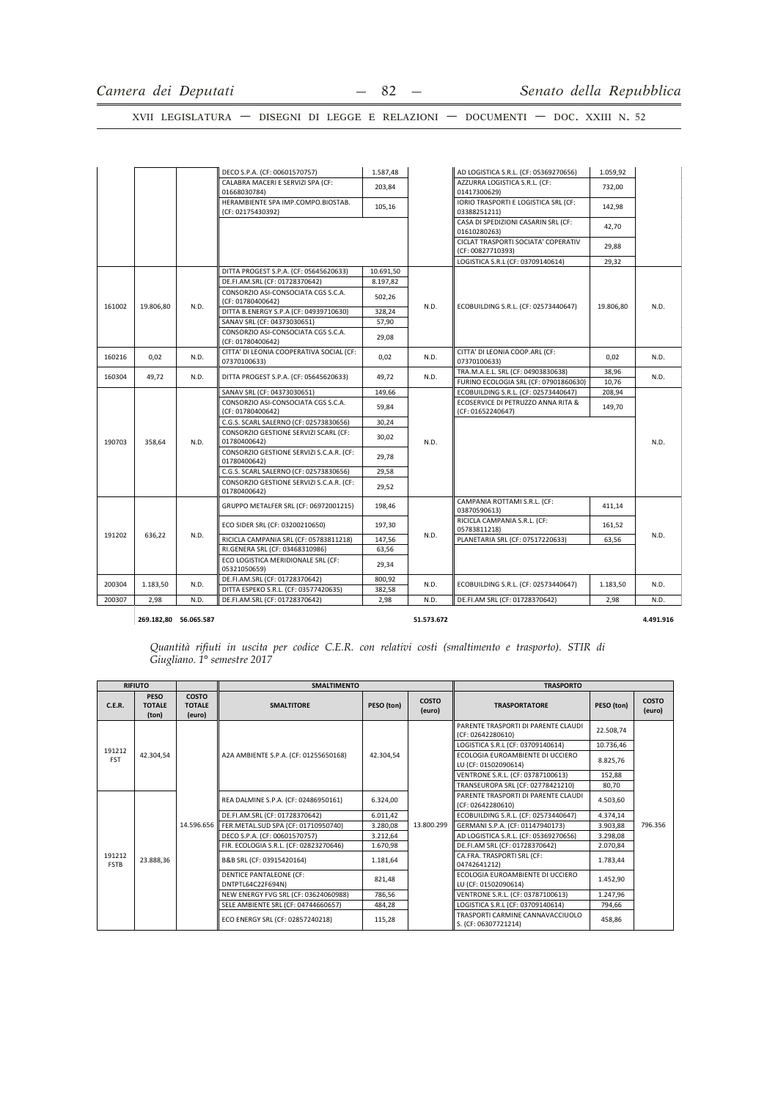$\equiv$ 

XVII LEGISLATURA - DISEGNI DI LEGGE E RELAZIONI - DOCUMENTI - DOC. XXIII N. 52

|        |           |      | DECO S.P.A. (CF: 00601570757)                            | 1.587,48  |      | AD LOGISTICA S.R.L. (CF: 05369270656)                    | 1.059,92  |      |
|--------|-----------|------|----------------------------------------------------------|-----------|------|----------------------------------------------------------|-----------|------|
|        |           |      | CALABRA MACERI E SERVIZI SPA (CF:<br>01668030784)        | 203,84    |      | AZZURRA LOGISTICA S.R.L. (CF:<br>01417300629)            | 732,00    |      |
|        |           |      | HERAMBIENTE SPA IMP.COMPO.BIOSTAB.<br>(CF: 02175430392)  | 105,16    |      | IORIO TRASPORTI E LOGISTICA SRL (CF:<br>03388251211)     | 142,98    |      |
|        |           |      |                                                          |           |      | CASA DI SPEDIZIONI CASARIN SRL (CF:<br>01610280263)      | 42,70     |      |
|        |           |      |                                                          |           |      | CICLAT TRASPORTI SOCIATA' COPERATIV<br>(CF: 00827710393) | 29,88     |      |
|        |           |      |                                                          |           |      | LOGISTICA S.R.L (CF: 03709140614)                        | 29,32     |      |
|        |           |      | DITTA PROGEST S.P.A. (CF: 05645620633)                   | 10.691,50 |      |                                                          |           |      |
|        |           |      | DE.FI.AM.SRL (CF: 01728370642)                           | 8.197,82  |      |                                                          |           |      |
|        |           |      | CONSORZIO ASI-CONSOCIATA CGS S.C.A.<br>(CF: 01780400642) | 502,26    |      |                                                          |           |      |
| 161002 | 19.806,80 | N.D. | DITTA B.ENERGY S.P.A (CF: 04939710630)                   | 328,24    | N.D. | ECOBUILDING S.R.L. (CF: 02573440647)                     | 19.806,80 | N.D. |
|        |           |      | SANAV SRL (CF: 04373030651)                              | 57,90     |      |                                                          |           |      |
|        |           |      | CONSORZIO ASI-CONSOCIATA CGS S.C.A.<br>(CF: 01780400642) | 29,08     |      |                                                          |           |      |
| 160216 | 0.02      | N.D. | CITTA' DI LEONIA COOPERATIVA SOCIAL (CF:<br>07370100633) | 0,02      | N.D. | CITTA' DI LEONIA COOP.ARL (CF:<br>07370100633)           | 0,02      | N.D. |
| 160304 | 49.72     | N.D. | DITTA PROGEST S.P.A. (CF: 05645620633)                   | 49.72     | N.D. | TRA.M.A.E.L. SRL (CF: 04903830638)                       | 38,96     | N.D. |
|        |           |      |                                                          |           |      | FURINO ECOLOGIA SRL (CF: 07901860630)                    | 10,76     |      |
|        |           |      | SANAV SRL (CF: 04373030651)                              | 149,66    |      | ECOBUILDING S.R.L. (CF: 02573440647)                     | 208,94    |      |
|        |           |      | CONSORZIO ASI-CONSOCIATA CGS S.C.A.<br>(CF: 01780400642) | 59,84     |      | ECOSERVICE DI PETRUZZO ANNA RITA &<br>(CF: 01652240647)  | 149,70    |      |
|        |           |      | C.G.S. SCARL SALERNO (CF: 02573830656)                   | 30,24     |      |                                                          |           |      |
| 190703 | 358,64    | N.D. | CONSORZIO GESTIONE SERVIZI SCARL (CF:<br>01780400642)    | 30,02     | N.D. |                                                          |           | N.D. |
|        |           |      | CONSORZIO GESTIONE SERVIZI S.C.A.R. (CF:<br>01780400642) | 29,78     |      |                                                          |           |      |
|        |           |      | C.G.S. SCARL SALERNO (CF: 02573830656)                   | 29,58     |      |                                                          |           |      |
|        |           |      | CONSORZIO GESTIONE SERVIZI S.C.A.R. (CF:<br>01780400642) | 29,52     |      |                                                          |           |      |
|        |           |      | GRUPPO METALFER SRL (CF: 06972001215)                    | 198,46    |      | CAMPANIA ROTTAMI S.R.L. (CF:<br>03870590613)             | 411,14    |      |
|        |           |      | ECO SIDER SRL (CF: 03200210650)                          | 197,30    |      | RICICLA CAMPANIA S.R.L. (CF:<br>05783811218)             | 161,52    |      |
| 191202 | 636.22    | N.D. | RICICLA CAMPANIA SRL (CF: 05783811218)                   | 147,56    | N.D. | PLANETARIA SRL (CF: 07517220633)                         | 63,56     | N.D. |
|        |           |      | RI.GENERA SRL (CF: 03468310986)                          | 63.56     |      |                                                          |           |      |
|        |           |      | ECO LOGISTICA MERIDIONALE SRL (CF:<br>05321050659)       | 29,34     |      |                                                          |           |      |
|        |           |      | DE.FI.AM.SRL (CF: 01728370642)                           | 800,92    |      |                                                          |           |      |
| 200304 | 1.183,50  | N.D. | DITTA ESPEKO S.R.L. (CF: 03577420635)                    | 382,58    | N.D. | ECOBUILDING S.R.L. (CF: 02573440647)                     | 1.183,50  | N.D. |
| 200307 | 2,98      | N.D. | DE.FI.AM.SRL (CF: 01728370642)                           | 2,98      | N.D. | DE.FI.AM SRL (CF: 01728370642)                           | 2,98      | N.D. |
|        |           |      |                                                          |           |      |                                                          |           |      |

269.182,80 56.065.587

51.573.672

4.491.916

Quantità rifiuti in uscita per codice C.E.R. con relativi costi (smaltimento e trasporto). STIR di Giugliano. 1º semestre 2017

|                       | <b>RIFIUTO</b>                        |                                         | <b>SMALTIMENTO</b>                                  |            |                 | <b>TRASPORTO</b>                                         |            |                 |
|-----------------------|---------------------------------------|-----------------------------------------|-----------------------------------------------------|------------|-----------------|----------------------------------------------------------|------------|-----------------|
| C.E.R.                | <b>PESO</b><br><b>TOTALE</b><br>(ton) | <b>COSTO</b><br><b>TOTALE</b><br>(euro) | <b>SMALTITORE</b>                                   | PESO (ton) | COSTO<br>(euro) | <b>TRASPORTATORE</b>                                     | PESO (ton) | COSTO<br>(euro) |
|                       |                                       |                                         |                                                     |            |                 | PARENTE TRASPORTI DI PARENTE CLAUDI<br>(CF: 02642280610) | 22.508.74  |                 |
| 191212                |                                       |                                         |                                                     |            |                 | LOGISTICA S.R.L (CF: 03709140614)                        | 10.736.46  |                 |
| <b>FST</b>            | 42.304.54                             |                                         | A2A AMBIENTE S.P.A. (CF: 01255650168)               | 42.304.54  |                 | ECOLOGIA EUROAMBIENTE DI UCCIERO<br>LU (CF: 01502090614) | 8.825.76   |                 |
|                       |                                       |                                         |                                                     |            |                 | VENTRONE S.R.L. (CF: 03787100613)                        | 152.88     |                 |
|                       |                                       |                                         |                                                     |            |                 | TRANSEUROPA SRL (CF: 02778421210)                        | 80.70      |                 |
|                       |                                       |                                         | REA DALMINE S.P.A. (CF: 02486950161)                | 6.324.00   |                 | PARENTE TRASPORTI DI PARENTE CLAUDI<br>(CF: 02642280610) | 4.503,60   |                 |
|                       |                                       |                                         | DE.FI.AM.SRL (CF: 01728370642)                      | 6.011,42   |                 | ECOBUILDING S.R.L. (CF: 02573440647)                     | 4.374.14   |                 |
|                       |                                       | 14.596.656                              | FER.METAL.SUD SPA (CF: 01710950740)                 | 3.280,08   | 13,800.299      | GERMANI S.P.A. (CF: 01147940173)                         | 3.903,88   | 796.356         |
|                       |                                       |                                         | DECO S.P.A. (CF: 00601570757)                       | 3.212,64   |                 | AD LOGISTICA S.R.L. (CF: 05369270656)                    | 3.298,08   |                 |
|                       |                                       |                                         | FIR. ECOLOGIA S.R.L. (CF: 02823270646)              | 1.670.98   |                 | DE.FI.AM SRL (CF: 01728370642)                           | 2.070.84   |                 |
| 191212<br><b>FSTB</b> | 23.888,36                             |                                         | B&B SRL (CF: 03915420164)                           | 1.181,64   |                 | CA.FRA. TRASPORTI SRL (CF:<br>04742641212)               | 1.783.44   |                 |
|                       |                                       |                                         | <b>DENTICE PANTALEONE (CF:</b><br>DNTPTL64C22F694N) | 821,48     |                 | FCOLOGIA FUROAMBIENTE DI UCCIFRO<br>LU (CF: 01502090614) | 1.452.90   |                 |
|                       |                                       |                                         | NEW ENERGY FVG SRL (CF: 03624060988)                | 786.56     |                 | VENTRONE S.R.L. (CF: 03787100613)                        | 1.247,96   |                 |
|                       |                                       |                                         | SELE AMBIENTE SRL (CF: 04744660657)                 | 484.28     |                 | LOGISTICA S.R.L (CF: 03709140614)                        | 794.66     |                 |
|                       |                                       |                                         | ECO ENERGY SRL (CF: 02857240218)                    | 115,28     |                 | TRASPORTI CARMINE CANNAVACCIUOLO<br>S. (CF: 06307721214) | 458,86     |                 |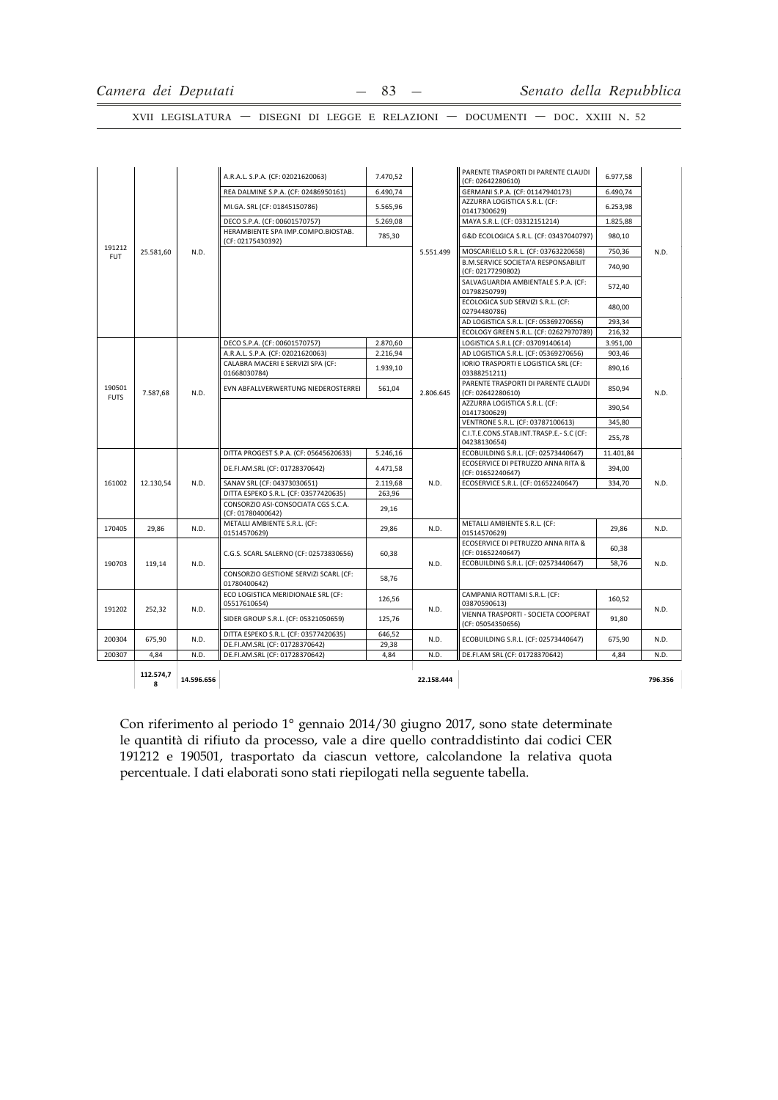|                       |                |            | A.R.A.L. S.P.A. (CF: 02021620063)                                       | 7.470.52        |            | PARENTE TRASPORTI DI PARENTE CLAUDI<br>(CF: 02642280610)        | 6.977.58  |         |
|-----------------------|----------------|------------|-------------------------------------------------------------------------|-----------------|------------|-----------------------------------------------------------------|-----------|---------|
|                       |                |            | REA DALMINE S.P.A. (CF: 02486950161)                                    | 6.490,74        |            | GERMANI S.P.A. (CF: 01147940173)                                | 6.490,74  |         |
|                       |                |            | MI.GA. SRL (CF: 01845150786)                                            | 5.565,96        |            | AZZURRA LOGISTICA S.R.L. (CF:<br>01417300629)                   | 6.253,98  |         |
|                       |                |            | DECO S.P.A. (CF: 00601570757)                                           | 5.269,08        |            | MAYA S.R.L. (CF: 03312151214)                                   | 1.825,88  |         |
|                       |                |            | HERAMBIENTE SPA IMP.COMPO.BIOSTAB.<br>(CF: 02175430392)                 | 785,30          |            | G&D ECOLOGICA S.R.L. (CF: 03437040797)                          | 980,10    |         |
| 191212<br><b>FUT</b>  | 25.581,60      | N.D.       |                                                                         |                 | 5.551.499  | MOSCARIELLO S.R.L. (CF: 03763220658)                            | 750,36    | N.D.    |
|                       |                |            |                                                                         |                 |            | <b>B.M.SERVICE SOCIETA'A RESPONSABILIT</b><br>(CF: 02177290802) | 740.90    |         |
|                       |                |            |                                                                         |                 |            | SALVAGUARDIA AMBIENTALE S.P.A. (CF:<br>01798250799)             | 572,40    |         |
|                       |                |            |                                                                         |                 |            | ECOLOGICA SUD SERVIZI S.R.L. (CF:<br>02794480786)               | 480,00    |         |
|                       |                |            |                                                                         |                 |            | AD LOGISTICA S.R.L. (CF: 05369270656)                           | 293,34    |         |
|                       |                |            |                                                                         |                 |            | ECOLOGY GREEN S.R.L. (CF: 02627970789)                          | 216,32    |         |
|                       |                |            | DECO S.P.A. (CF: 00601570757)                                           | 2.870,60        |            | LOGISTICA S.R.L (CF: 03709140614)                               | 3.951,00  |         |
|                       |                |            | A.R.A.L. S.P.A. (CF: 02021620063)                                       | 2.216,94        |            | AD LOGISTICA S.R.L. (CF: 05369270656)                           | 903,46    |         |
|                       |                |            | CALABRA MACERI E SERVIZI SPA (CF:<br>01668030784)                       | 1.939,10        |            | IORIO TRASPORTI E LOGISTICA SRL (CF:<br>03388251211)            | 890,16    |         |
| 190501<br><b>FUTS</b> | 7.587,68       | N.D.       | EVN ABFALLVERWERTUNG NIEDEROSTERREI                                     | 561,04          | 2.806.645  | PARENTE TRASPORTI DI PARENTE CLAUDI<br>(CF: 02642280610)        | 850,94    | N.D.    |
|                       |                |            |                                                                         |                 |            | AZZURRA LOGISTICA S.R.L. (CF:<br>01417300629)                   | 390.54    |         |
|                       |                |            |                                                                         |                 |            | VENTRONE S.R.L. (CF: 03787100613)                               | 345,80    |         |
|                       |                |            |                                                                         |                 |            | C.I.T.E.CONS.STAB.INT.TRASP.E.-S.C (CF:<br>04238130654)         | 255,78    |         |
|                       |                |            | DITTA PROGEST S.P.A. (CF: 05645620633)                                  | 5.246,16        |            | ECOBUILDING S.R.L. (CF: 02573440647)                            | 11.401,84 |         |
|                       |                |            | DE.FI.AM.SRL (CF: 01728370642)                                          | 4.471,58        |            | ECOSERVICE DI PETRUZZO ANNA RITA &<br>(CF: 01652240647)         | 394,00    |         |
| 161002                | 12.130,54      | N.D.       | SANAV SRL (CF: 04373030651)                                             | 2.119,68        | N.D.       | ECOSERVICE S.R.L. (CF: 01652240647)                             | 334.70    | N.D.    |
|                       |                |            | DITTA ESPEKO S.R.L. (CF: 03577420635)                                   | 263,96          |            |                                                                 |           |         |
|                       |                |            | CONSORZIO ASI-CONSOCIATA CGS S.C.A.<br>(CF: 01780400642)                | 29,16           |            |                                                                 |           |         |
| 170405                | 29,86          | N.D.       | METALLI AMBIENTE S.R.L. (CF:<br>01514570629)                            | 29,86           | N.D.       | METALLI AMBIENTE S.R.L. (CF:<br>01514570629)                    | 29,86     | N.D.    |
|                       |                |            | C.G.S. SCARL SALERNO (CF: 02573830656)                                  | 60,38           |            | ECOSERVICE DI PETRUZZO ANNA RITA &<br>(CF: 01652240647)         | 60,38     |         |
| 190703                | 119.14         | N.D.       |                                                                         |                 | N.D.       | ECOBUILDING S.R.L. (CF: 02573440647)                            | 58,76     | N.D.    |
|                       |                |            | CONSORZIO GESTIONE SERVIZI SCARL (CF:<br>01780400642)                   | 58,76           |            |                                                                 |           |         |
| 191202                | 252,32         | N.D.       | ECO LOGISTICA MERIDIONALE SRL (CF:<br>05517610654)                      | 126,56          | N.D.       | CAMPANIA ROTTAMI S.R.L. (CF:<br>03870590613)                    | 160,52    | N.D.    |
|                       |                |            | SIDER GROUP S.R.L. (CF: 05321050659)                                    | 125,76          |            | VIENNA TRASPORTI - SOCIETA COOPERAT<br>(CF: 05054350656)        | 91,80     |         |
| 200304                | 675,90         | N.D.       | DITTA ESPEKO S.R.L. (CF: 03577420635)<br>DE.FI.AM.SRL (CF: 01728370642) | 646,52<br>29,38 | N.D.       | ECOBUILDING S.R.L. (CF: 02573440647)                            | 675,90    | N.D.    |
| 200307                | 4,84           | N.D.       | DE.FI.AM.SRL (CF: 01728370642)                                          | 4,84            | N.D.       | DE.FI.AM SRL (CF: 01728370642)                                  | 4,84      | N.D.    |
|                       |                |            |                                                                         |                 |            |                                                                 |           |         |
|                       | 112.574.7<br>8 | 14.596.656 |                                                                         |                 | 22.158.444 |                                                                 |           | 796.356 |

Con riferimento al periodo 1º gennaio 2014/30 giugno 2017, sono state determinate le quantità di rifiuto da processo, vale a dire quello contraddistinto dai codici CER 191212 e 190501, trasportato da ciascun vettore, calcolandone la relativa quota percentuale. I dati elaborati sono stati riepilogati nella seguente tabella.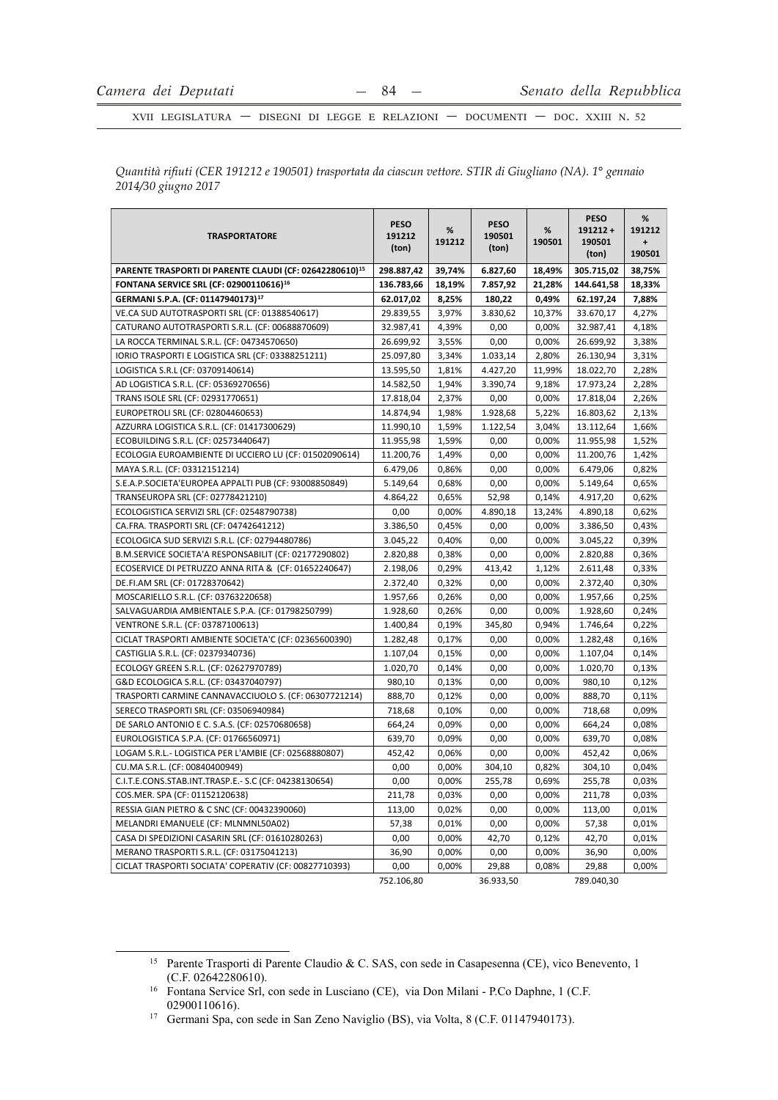Quantità rifiuti (CER 191212 e 190501) trasportata da ciascun vettore. STIR di Giugliano (NA). 1º gennaio 2014/30 giugno 2017

| <b>TRASPORTATORE</b>                                                | <b>PESO</b><br>191212<br>(ton) | %<br>191212 | <b>PESO</b><br>190501<br>(ton) | %<br>190501 | <b>PESO</b><br>$191212 +$<br>190501<br>(ton) | %<br>191212<br>190501 |
|---------------------------------------------------------------------|--------------------------------|-------------|--------------------------------|-------------|----------------------------------------------|-----------------------|
| PARENTE TRASPORTI DI PARENTE CLAUDI (CF: 02642280610) <sup>15</sup> | 298.887.42                     | 39,74%      | 6.827,60                       | 18,49%      | 305.715,02                                   | 38,75%                |
| FONTANA SERVICE SRL (CF: 02900110616) <sup>16</sup>                 | 136.783,66                     | 18,19%      | 7.857,92                       | 21,28%      | 144.641,58                                   | 18,33%                |
| GERMANI S.P.A. (CF: 01147940173)17                                  | 62.017,02                      | 8,25%       | 180,22                         | 0,49%       | 62.197,24                                    | 7,88%                 |
| VE.CA SUD AUTOTRASPORTI SRL (CF: 01388540617)                       | 29.839,55                      | 3,97%       | 3.830,62                       | 10,37%      | 33.670,17                                    | 4,27%                 |
| CATURANO AUTOTRASPORTI S.R.L. (CF: 00688870609)                     | 32.987,41                      | 4,39%       | 0,00                           | 0,00%       | 32.987,41                                    | 4,18%                 |
| LA ROCCA TERMINAL S.R.L. (CF: 04734570650)                          | 26.699,92                      | 3,55%       | 0,00                           | 0,00%       | 26.699,92                                    | 3,38%                 |
| IORIO TRASPORTI E LOGISTICA SRL (CF: 03388251211)                   | 25.097,80                      | 3,34%       | 1.033,14                       | 2,80%       | 26.130,94                                    | 3,31%                 |
| LOGISTICA S.R.L (CF: 03709140614)                                   | 13.595,50                      | 1,81%       | 4.427,20                       | 11,99%      | 18.022,70                                    | 2,28%                 |
| AD LOGISTICA S.R.L. (CF: 05369270656)                               | 14.582,50                      | 1,94%       | 3.390,74                       | 9,18%       | 17.973,24                                    | 2,28%                 |
| TRANS ISOLE SRL (CF: 02931770651)                                   | 17.818,04                      | 2,37%       | 0,00                           | 0,00%       | 17.818,04                                    | 2,26%                 |
| EUROPETROLI SRL (CF: 02804460653)                                   | 14.874,94                      | 1,98%       | 1.928,68                       | 5,22%       | 16.803,62                                    | 2,13%                 |
| AZZURRA LOGISTICA S.R.L. (CF: 01417300629)                          | 11.990,10                      | 1,59%       | 1.122,54                       | 3,04%       | 13.112,64                                    | 1,66%                 |
| ECOBUILDING S.R.L. (CF: 02573440647)                                | 11.955,98                      | 1,59%       | 0,00                           | 0,00%       | 11.955,98                                    | 1,52%                 |
| ECOLOGIA EUROAMBIENTE DI UCCIERO LU (CF: 01502090614)               | 11.200,76                      | 1,49%       | 0,00                           | 0,00%       | 11.200,76                                    | 1,42%                 |
| MAYA S.R.L. (CF: 03312151214)                                       | 6.479,06                       | 0,86%       | 0,00                           | 0,00%       | 6.479,06                                     | 0,82%                 |
| S.E.A.P.SOCIETA'EUROPEA APPALTI PUB (CF: 93008850849)               | 5.149,64                       | 0,68%       | 0,00                           | 0,00%       | 5.149,64                                     | 0,65%                 |
| TRANSEUROPA SRL (CF: 02778421210)                                   | 4.864,22                       | 0,65%       | 52,98                          | 0,14%       | 4.917,20                                     | 0,62%                 |
| ECOLOGISTICA SERVIZI SRL (CF: 02548790738)                          | 0,00                           | 0,00%       | 4.890,18                       | 13,24%      | 4.890,18                                     | 0,62%                 |
| CA.FRA. TRASPORTI SRL (CF: 04742641212)                             | 3.386,50                       | 0,45%       | 0,00                           | 0,00%       | 3.386,50                                     | 0,43%                 |
| ECOLOGICA SUD SERVIZI S.R.L. (CF: 02794480786)                      | 3.045,22                       | 0,40%       | 0,00                           | 0,00%       | 3.045,22                                     | 0,39%                 |
| B.M.SERVICE SOCIETA'A RESPONSABILIT (CF: 02177290802)               | 2.820,88                       | 0,38%       | 0,00                           | 0,00%       | 2.820,88                                     | 0,36%                 |
| ECOSERVICE DI PETRUZZO ANNA RITA & (CF: 01652240647)                | 2.198,06                       | 0,29%       | 413,42                         | 1,12%       | 2.611,48                                     | 0,33%                 |
| DE.FI.AM SRL (CF: 01728370642)                                      | 2.372.40                       | 0,32%       | 0,00                           | 0.00%       | 2.372,40                                     | 0,30%                 |
| MOSCARIELLO S.R.L. (CF: 03763220658)                                | 1.957,66                       | 0,26%       | 0,00                           | 0,00%       | 1.957,66                                     | 0,25%                 |
| SALVAGUARDIA AMBIENTALE S.P.A. (CF: 01798250799)                    | 1.928,60                       | 0,26%       | 0,00                           | 0,00%       | 1.928,60                                     | 0,24%                 |
| VENTRONE S.R.L. (CF: 03787100613)                                   | 1.400,84                       | 0,19%       | 345,80                         | 0,94%       | 1.746,64                                     | 0,22%                 |
| CICLAT TRASPORTI AMBIENTE SOCIETA'C (CF: 02365600390)               | 1.282,48                       | 0,17%       | 0,00                           | 0,00%       | 1.282,48                                     | 0,16%                 |
| CASTIGLIA S.R.L. (CF: 02379340736)                                  | 1.107,04                       | 0,15%       | 0,00                           | 0,00%       | 1.107,04                                     | 0,14%                 |
| ECOLOGY GREEN S.R.L. (CF: 02627970789)                              | 1.020,70                       | 0,14%       | 0,00                           | 0,00%       | 1.020,70                                     | 0,13%                 |
| G&D ECOLOGICA S.R.L. (CF: 03437040797)                              | 980.10                         | 0,13%       | 0,00                           | 0.00%       | 980.10                                       | 0.12%                 |
| TRASPORTI CARMINE CANNAVACCIUOLO S. (CF: 06307721214)               | 888,70                         | 0,12%       | 0,00                           | 0,00%       | 888,70                                       | 0,11%                 |
| SERECO TRASPORTI SRL (CF: 03506940984)                              | 718,68                         | 0,10%       | 0,00                           | 0,00%       | 718,68                                       | 0,09%                 |
| DE SARLO ANTONIO E C. S.A.S. (CF: 02570680658)                      | 664,24                         | 0,09%       | 0,00                           | 0.00%       | 664,24                                       | 0,08%                 |
| EUROLOGISTICA S.P.A. (CF: 01766560971)                              | 639,70                         | 0,09%       | 0,00                           | 0,00%       | 639,70                                       | 0,08%                 |
| LOGAM S.R.L.- LOGISTICA PER L'AMBIE (CF: 02568880807)               | 452,42                         | 0,06%       | 0,00                           | 0,00%       | 452,42                                       | 0,06%                 |
| CU.MA S.R.L. (CF: 00840400949)                                      | 0,00                           | 0,00%       | 304,10                         | 0,82%       | 304,10                                       | 0,04%                 |
| C.I.T.E.CONS.STAB.INT.TRASP.E.- S.C (CF: 04238130654)               | 0,00                           | 0,00%       | 255,78                         | 0,69%       | 255,78                                       | 0,03%                 |
| COS.MER. SPA (CF: 01152120638)                                      | 211,78                         | 0,03%       | 0,00                           | 0,00%       | 211,78                                       | 0,03%                 |
| RESSIA GIAN PIETRO & C SNC (CF: 00432390060)                        | 113,00                         | 0,02%       | 0,00                           | 0,00%       | 113,00                                       | 0,01%                 |
| MELANDRI EMANUELE (CF: MLNMNL50A02)                                 | 57,38                          | 0,01%       | 0,00                           | 0,00%       | 57,38                                        | 0,01%                 |
| CASA DI SPEDIZIONI CASARIN SRL (CF: 01610280263)                    | 0,00                           | 0,00%       | 42,70                          | 0,12%       | 42,70                                        | 0,01%                 |
| MERANO TRASPORTI S.R.L. (CF: 03175041213)                           | 36,90                          | 0,00%       | 0,00                           | 0,00%       | 36,90                                        | 0,00%                 |
| CICLAT TRASPORTI SOCIATA' COPERATIV (CF: 00827710393)               | 0,00                           | 0,00%       | 29,88                          | 0,08%       | 29,88                                        | 0,00%                 |
|                                                                     | 752.106.80                     |             | 36.933.50                      |             | 789.040.30                                   |                       |

752.106,80

<sup>789.040,30</sup> 

<sup>&</sup>lt;sup>15</sup> Parente Trasporti di Parente Claudio & C. SAS, con sede in Casapesenna (CE), vico Benevento, 1  $(C.F. 02642280610).$ 

<sup>&</sup>lt;sup>16</sup> Fontana Service Srl, con sede in Lusciano (CE), via Don Milani - P.Co Daphne, 1 (C.F. 02900110616).

<sup>&</sup>lt;sup>17</sup> Germani Spa, con sede in San Zeno Naviglio (BS), via Volta, 8 (C.F. 01147940173).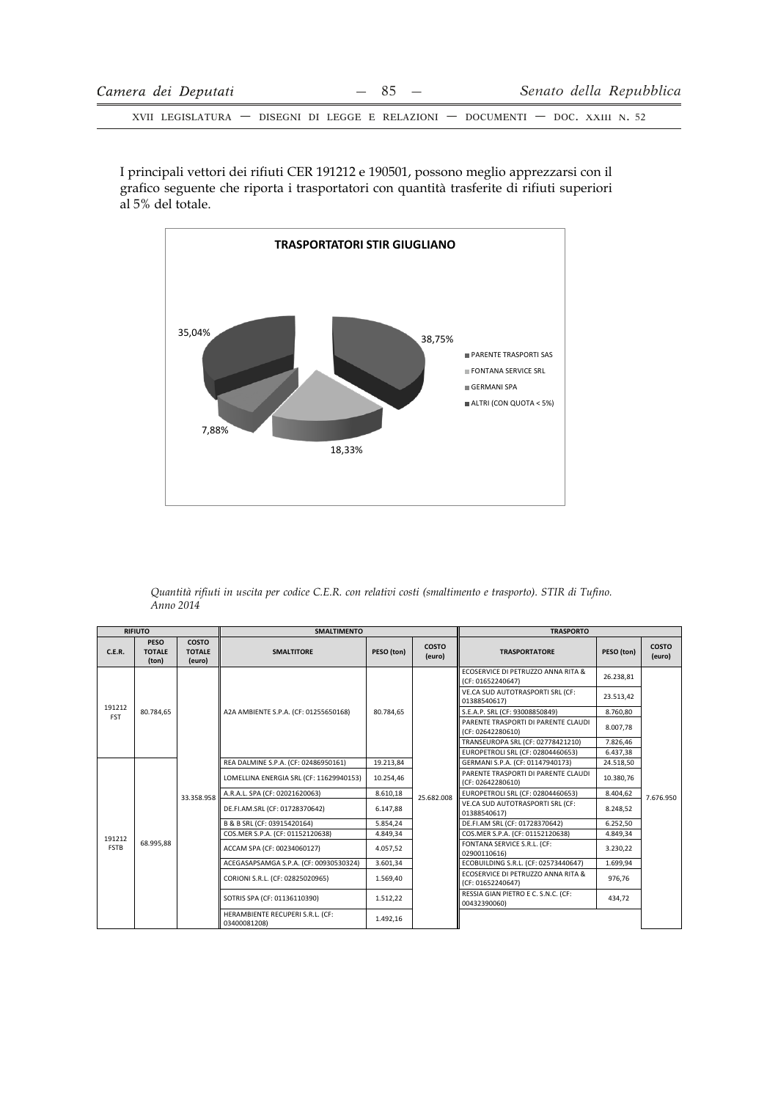– 85 –

XVII LEGISLATURA — DISEGNI DI LEGGE E RELAZIONI — DOCUMENTI — DOC. XXIII N. 52

I principali vettori dei rifiuti CER 191212 e 190501, possono meglio apprezzarsi con il grafico seguente che riporta i trasportatori con quantità trasferite di rifiuti superiori al 5% del totale.



*Quantità rifiuti in uscita per codice C.E.R. con relativi costi (smaltimento e trasporto). STIR di Tufino. Anno 2014*

|                      | <b>RIFIUTO</b>                 |                                         | <b>SMALTIMENTO</b>                               |            |                        | <b>TRASPORTO</b>                                         |            |                        |
|----------------------|--------------------------------|-----------------------------------------|--------------------------------------------------|------------|------------------------|----------------------------------------------------------|------------|------------------------|
| C.E.R.               | PESO<br><b>TOTALE</b><br>(ton) | <b>COSTO</b><br><b>TOTALE</b><br>(euro) | <b>SMALTITORE</b>                                | PESO (ton) | <b>COSTO</b><br>(euro) | <b>TRASPORTATORE</b>                                     | PESO (ton) | <b>COSTO</b><br>(euro) |
|                      |                                |                                         |                                                  |            |                        | ECOSERVICE DI PETRUZZO ANNA RITA &<br>(CF: 01652240647)  | 26.238,81  |                        |
|                      |                                |                                         |                                                  |            |                        | VE.CA SUD AUTOTRASPORTI SRL (CF:<br>01388540617)         | 23.513,42  |                        |
| 191212<br><b>FST</b> | 80.784,65                      |                                         | A2A AMBIENTE S.P.A. (CF: 01255650168)            | 80.784,65  |                        | S.E.A.P. SRL (CF: 93008850849)                           | 8.760,80   |                        |
|                      |                                |                                         |                                                  |            |                        | PARENTE TRASPORTI DI PARENTE CLAUDI<br>(CF: 02642280610) | 8.007.78   |                        |
|                      |                                |                                         |                                                  |            |                        | TRANSEUROPA SRL (CF: 02778421210)                        | 7.826,46   |                        |
|                      |                                |                                         |                                                  |            |                        | EUROPETROLI SRL (CF: 02804460653)                        | 6.437,38   |                        |
|                      |                                |                                         | REA DALMINE S.P.A. (CF: 02486950161)             | 19.213,84  |                        | GERMANI S.P.A. (CF: 01147940173)                         | 24.518,50  |                        |
|                      |                                |                                         | LOMELLINA ENERGIA SRL (CF: 11629940153)          | 10.254,46  |                        | PARENTE TRASPORTI DI PARENTE CLAUDI<br>(CF: 02642280610) | 10.380,76  |                        |
|                      |                                | 33.358.958                              | A.R.A.L. SPA (CF: 02021620063)                   | 8.610,18   | 25.682.008             | EUROPETROLI SRL (CF: 02804460653)                        | 8.404,62   | 7.676.950              |
|                      |                                |                                         | DE.FI.AM.SRL (CF: 01728370642)                   | 6.147.88   |                        | VE.CA SUD AUTOTRASPORTI SRL (CF:<br>01388540617)         | 8.248,52   |                        |
|                      |                                |                                         | B & B SRL (CF: 03915420164)                      | 5.854,24   |                        | DE.FI.AM SRL (CF: 01728370642)                           | 6.252,50   |                        |
| 191212               |                                |                                         | COS.MER S.P.A. (CF: 01152120638)                 | 4.849,34   |                        | COS.MER S.P.A. (CF: 01152120638)                         | 4.849,34   |                        |
| <b>FSTB</b>          | 68.995,88                      |                                         | ACCAM SPA (CF: 00234060127)                      | 4.057,52   |                        | FONTANA SERVICE S.R.L. (CF:<br>02900110616)              | 3.230,22   |                        |
|                      |                                |                                         | ACEGASAPSAMGA S.P.A. (CF: 00930530324)           | 3.601,34   |                        | ECOBUILDING S.R.L. (CF: 02573440647)                     | 1.699,94   |                        |
|                      |                                |                                         | CORIONI S.R.L. (CF: 02825020965)                 | 1.569,40   |                        | ECOSERVICE DI PETRUZZO ANNA RITA &<br>(CF: 01652240647)  | 976,76     |                        |
|                      |                                |                                         | SOTRIS SPA (CF: 01136110390)                     | 1.512,22   |                        | RESSIA GIAN PIETRO E C. S.N.C. (CF:<br>00432390060)      | 434,72     |                        |
|                      |                                |                                         | HERAMBIENTE RECUPERI S.R.L. (CF:<br>03400081208) | 1.492,16   |                        |                                                          |            |                        |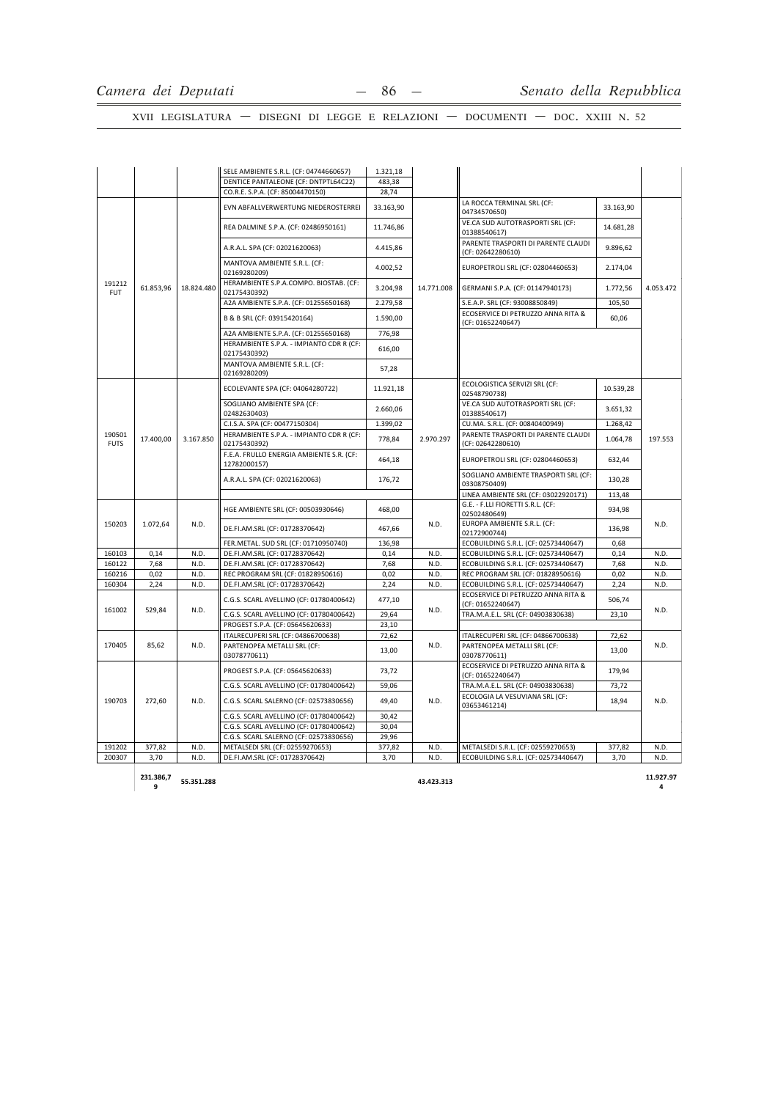|                       |              |            | SELE AMBIENTE S.R.L. (CF: 04744660657)                           | 1.321,18     |            |                                                                              |              |           |
|-----------------------|--------------|------------|------------------------------------------------------------------|--------------|------------|------------------------------------------------------------------------------|--------------|-----------|
|                       |              |            | DENTICE PANTALEONE (CF: DNTPTL64C22)                             | 483,38       |            |                                                                              |              |           |
|                       |              |            | CO.R.E. S.P.A. (CF: 85004470150)                                 | 28,74        |            |                                                                              |              |           |
|                       |              |            | EVN ABFALLVERWERTUNG NIEDEROSTERREI                              | 33.163,90    |            | LA ROCCA TERMINAL SRL (CF:<br>04734570650)                                   | 33.163,90    |           |
|                       |              |            | REA DALMINE S.P.A. (CF: 02486950161)                             | 11.746,86    |            | VE.CA SUD AUTOTRASPORTI SRL (CF:<br>01388540617)                             | 14.681,28    |           |
|                       |              |            | A.R.A.L. SPA (CF: 02021620063)                                   | 4.415,86     |            | PARENTE TRASPORTI DI PARENTE CLAUDI<br>(CF: 02642280610)                     | 9.896,62     |           |
|                       |              |            | MANTOVA AMBIENTE S.R.L. (CF:<br>02169280209)                     | 4.002,52     |            | EUROPETROLI SRL (CF: 02804460653)                                            | 2.174,04     |           |
| 191212<br><b>FUT</b>  | 61.853,96    | 18.824.480 | HERAMBIENTE S.P.A.COMPO. BIOSTAB. (CF:<br>02175430392)           | 3.204,98     | 14.771.008 | GERMANI S.P.A. (CF: 01147940173)                                             | 1.772,56     | 4.053.472 |
|                       |              |            | A2A AMBIENTE S.P.A. (CF: 01255650168)                            | 2.279,58     |            | S.E.A.P. SRL (CF: 93008850849)                                               | 105.50       |           |
|                       |              |            | B & B SRL (CF: 03915420164)                                      | 1.590,00     |            | ECOSERVICE DI PETRUZZO ANNA RITA &<br>(CF: 01652240647)                      | 60,06        |           |
|                       |              |            | A2A AMBIENTE S.P.A. (CF: 01255650168)                            | 776,98       |            |                                                                              |              |           |
|                       |              |            | HERAMBIENTE S.P.A. - IMPIANTO CDR R (CF:<br>02175430392)         | 616,00       |            |                                                                              |              |           |
|                       |              |            | MANTOVA AMBIENTE S.R.L. (CF:<br>02169280209)                     | 57,28        |            |                                                                              |              |           |
|                       |              |            | ECOLEVANTE SPA (CF: 04064280722)                                 | 11.921,18    |            | ECOLOGISTICA SERVIZI SRL (CF:<br>02548790738)                                | 10.539,28    |           |
|                       |              |            | SOGLIANO AMBIENTE SPA (CF:<br>02482630403)                       | 2.660,06     |            | VE.CA SUD AUTOTRASPORTI SRL (CF:<br>01388540617)                             | 3.651,32     |           |
|                       |              |            | C.I.S.A. SPA (CF: 00477150304)                                   | 1.399,02     |            | CU.MA. S.R.L. (CF: 00840400949)                                              | 1.268,42     |           |
| 190501<br><b>FUTS</b> | 17.400,00    | 3.167.850  | HERAMBIENTE S.P.A. - IMPIANTO CDR R (CF:<br>02175430392)         | 778,84       | 2.970.297  | PARENTE TRASPORTI DI PARENTE CLAUDI<br>(CF: 02642280610)                     | 1.064,78     | 197.553   |
|                       |              |            | F.E.A. FRULLO ENERGIA AMBIENTE S.R. (CF:<br>12782000157)         | 464,18       |            | EUROPETROLI SRL (CF: 02804460653)                                            | 632,44       |           |
|                       |              |            | A.R.A.L. SPA (CF: 02021620063)                                   | 176,72       |            | SOGLIANO AMBIENTE TRASPORTI SRL (CF:<br>03308750409)                         | 130.28       |           |
|                       |              |            |                                                                  |              |            | LINEA AMBIENTE SRL (CF: 03022920171)                                         | 113,48       |           |
|                       |              |            | HGE AMBIENTE SRL (CF: 00503930646)                               | 468,00       |            | G.E. - F.LLI FIORETTI S.R.L. (CF:<br>02502480649)                            | 934,98       |           |
| 150203                | 1.072,64     | N.D.       | DE.FI.AM.SRL (CF: 01728370642)                                   | 467,66       | N.D.       | EUROPA AMBIENTE S.R.L. (CF:<br>02172900744)                                  | 136.98       | N.D.      |
|                       |              | N.D.       | FER.METAL. SUD SRL (CF: 01710950740)                             | 136,98       | N.D.       | ECOBUILDING S.R.L. (CF: 02573440647)                                         | 0,68         | N.D.      |
| 160103<br>160122      | 0,14<br>7,68 | N.D.       | DE.FI.AM.SRL (CF: 01728370642)<br>DE.FI.AM.SRL (CF: 01728370642) | 0,14<br>7,68 | N.D.       | ECOBUILDING S.R.L. (CF: 02573440647)<br>ECOBUILDING S.R.L. (CF: 02573440647) | 0,14<br>7,68 | N.D.      |
| 160216                | 0,02         | N.D.       | REC PROGRAM SRL (CF: 01828950616)                                | 0,02         | N.D.       | REC PROGRAM SRL (CF: 01828950616)                                            | 0,02         | N.D.      |
| 160304                | 2,24         | N.D.       | DE.FI.AM.SRL (CF: 01728370642)                                   | 2,24         | N.D.       | ECOBUILDING S.R.L. (CF: 02573440647)                                         | 2,24         | N.D.      |
|                       |              |            | C.G.S. SCARL AVELLINO (CF: 01780400642)                          | 477,10       |            | ECOSERVICE DI PETRUZZO ANNA RITA &<br>(CF: 01652240647)                      | 506,74       |           |
| 161002                | 529,84       | N.D.       | C.G.S. SCARL AVELLINO (CF: 01780400642)                          | 29.64        | N.D.       | TRA.M.A.E.L. SRL (CF: 04903830638)                                           | 23,10        | N.D.      |
|                       |              |            | PROGEST S.P.A. (CF: 05645620633)                                 | 23,10        |            |                                                                              |              |           |
|                       |              |            | ITALRECUPERI SRL (CF: 04866700638)                               | 72,62        |            | ITALRECUPERI SRL (CF: 04866700638)                                           | 72,62        |           |
| 170405                | 85,62        | N.D.       | PARTENOPEA METALLI SRL (CF:<br>03078770611)                      | 13,00        | N.D.       | PARTENOPEA METALLI SRL (CF:<br>03078770611)                                  | 13,00        | N.D.      |
|                       |              |            | PROGEST S.P.A. (CF: 05645620633)                                 | 73,72        |            | ECOSERVICE DI PETRUZZO ANNA RITA &<br>(CF: 01652240647)                      | 179,94       |           |
|                       |              |            | C.G.S. SCARL AVELLINO (CF: 01780400642)                          | 59,06        |            | TRA.M.A.E.L. SRL (CF: 04903830638)                                           | 73,72        |           |
| 190703                | 272,60       | N.D.       | C.G.S. SCARL SALERNO (CF: 02573830656)                           | 49,40        | N.D.       | ECOLOGIA LA VESUVIANA SRL (CF:<br>03653461214)                               | 18,94        | N.D.      |
|                       |              |            | C.G.S. SCARL AVELLINO (CF: 01780400642)                          | 30,42        |            |                                                                              |              |           |
|                       |              |            | C.G.S. SCARL AVELLINO (CF: 01780400642)                          | 30,04        |            |                                                                              |              |           |
|                       |              |            | C.G.S. SCARL SALERNO (CF: 02573830656)                           | 29,96        |            |                                                                              |              |           |
| 191202                | 377,82       | N.D.       | METALSEDI SRL (CF: 02559270653)                                  | 377,82       | N.D.       | METALSEDI S.R.L. (CF: 02559270653)                                           | 377,82       | N.D.      |
| 200307                | 3,70         | N.D.       | DE.FI.AM.SRL (CF: 01728370642)                                   | 3,70         | N.D.       | ECOBUILDING S.R.L. (CF: 02573440647)                                         | 3,70         | N.D.      |

 $\begin{array}{|c|c|} \hline 231.386,7 & 55.351.288 \ \hline 9 & & \hline \end{array}$ 

43.423.313

11.927.97  $\overline{\mathbf{4}}$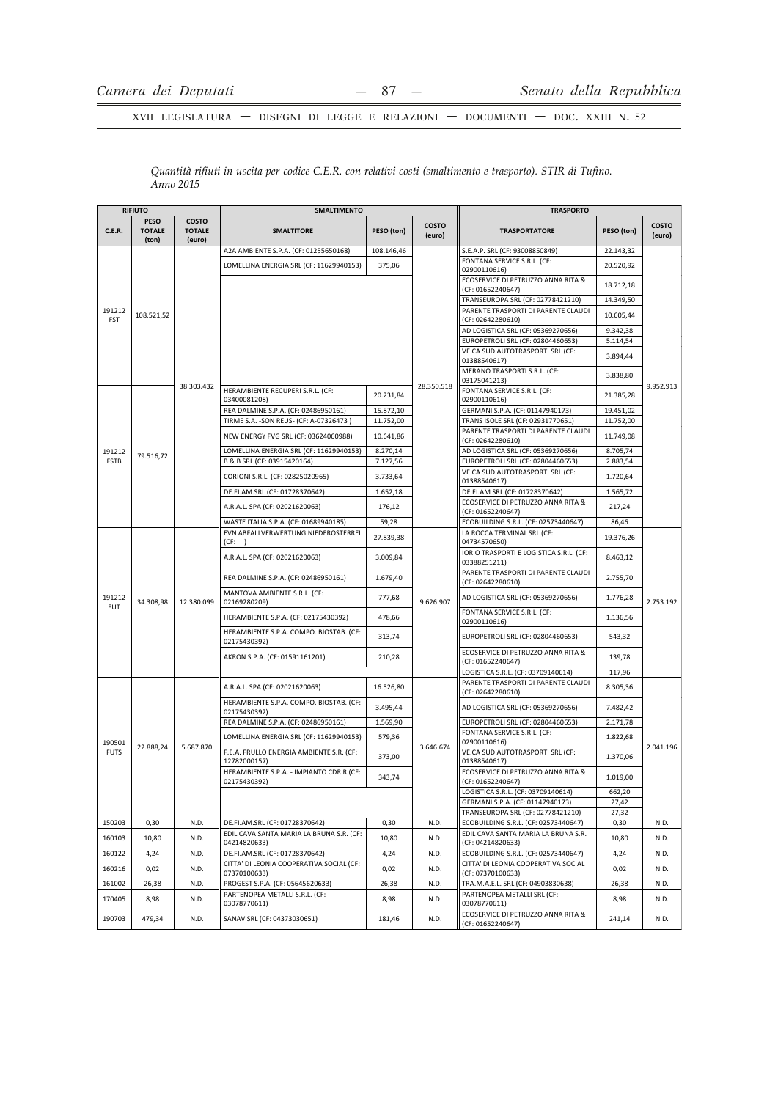$87 -$ 

 $\equiv$ 

XVII LEGISLATURA - DISEGNI DI LEGGE E RELAZIONI - DOCUMENTI - DOC. XXIII N. 52

|             | <b>RIFIUTO</b>                        |                                         | <b>SMALTIMENTO</b>                                                           |            |                        | TRASPORTO                                                              |                 |                        |
|-------------|---------------------------------------|-----------------------------------------|------------------------------------------------------------------------------|------------|------------------------|------------------------------------------------------------------------|-----------------|------------------------|
| C.E.R.      | <b>PESO</b><br><b>TOTALE</b><br>(ton) | <b>COSTO</b><br><b>TOTALE</b><br>(euro) | <b>SMALTITORE</b>                                                            | PESO (ton) | <b>COSTO</b><br>(euro) | <b>TRASPORTATORE</b>                                                   | PESO (ton)      | <b>COSTO</b><br>(euro) |
|             |                                       |                                         | A2A AMBIENTE S.P.A. (CF: 01255650168)                                        | 108.146,46 |                        | S.E.A.P. SRL (CF: 93008850849)                                         | 22.143,32       |                        |
|             |                                       |                                         | LOMELLINA ENERGIA SRL (CF: 11629940153)                                      | 375,06     |                        | FONTANA SERVICE S.R.L. (CF:                                            | 20.520,92       |                        |
|             |                                       |                                         |                                                                              |            |                        | 02900110616)                                                           |                 |                        |
|             |                                       |                                         |                                                                              |            |                        | ECOSERVICE DI PETRUZZO ANNA RITA &                                     | 18.712,18       |                        |
|             |                                       |                                         |                                                                              |            |                        | (CF: 01652240647)<br>TRANSEUROPA SRL (CF: 02778421210)                 | 14.349,50       |                        |
| 191212      |                                       |                                         |                                                                              |            |                        | PARENTE TRASPORTI DI PARENTE CLAUDI                                    |                 |                        |
| FST         | 108.521,52                            |                                         |                                                                              |            |                        | (CF: 02642280610)                                                      | 10.605,44       |                        |
|             |                                       |                                         |                                                                              |            |                        | AD LOGISTICA SRL (CF: 05369270656)                                     | 9.342,38        |                        |
|             |                                       |                                         |                                                                              |            |                        | EUROPETROLI SRL (CF: 02804460653)                                      | 5.114,54        |                        |
|             |                                       |                                         |                                                                              |            |                        | VE.CA SUD AUTOTRASPORTI SRL (CF:                                       | 3.894,44        |                        |
|             |                                       |                                         |                                                                              |            |                        | 01388540617)<br>MERANO TRASPORTI S.R.L. (CF:                           |                 |                        |
|             |                                       |                                         |                                                                              |            |                        | 03175041213)                                                           | 3.838,80        |                        |
|             |                                       | 38.303.432                              | HERAMBIENTE RECUPERI S.R.L. (CF:                                             |            | 28.350.518             | FONTANA SERVICE S.R.L. (CF:                                            |                 | 9.952.913              |
|             |                                       |                                         | 03400081208)                                                                 | 20.231,84  |                        | 02900110616)                                                           | 21.385,28       |                        |
|             |                                       |                                         | REA DALMINE S.P.A. (CF: 02486950161)                                         | 15.872,10  |                        | GERMANI S.P.A. (CF: 01147940173)                                       | 19.451,02       |                        |
|             |                                       |                                         | TIRME S.A. - SON REUS- (CF: A-07326473)                                      | 11.752,00  |                        | TRANS ISOLE SRL (CF: 02931770651)                                      | 11.752,00       |                        |
|             |                                       |                                         | NEW ENERGY FVG SRL (CF: 03624060988)                                         | 10.641,86  |                        | PARENTE TRASPORTI DI PARENTE CLAUDI<br>(CF: 02642280610)               | 11.749,08       |                        |
| 191212      |                                       |                                         | LOMELLINA ENERGIA SRL (CF: 11629940153)                                      | 8.270,14   |                        | AD LOGISTICA SRL (CF: 05369270656)                                     | 8.705,74        |                        |
| <b>FSTB</b> | 79.516,72                             |                                         | B & B SRL (CF: 03915420164)                                                  | 7.127,56   |                        | EUROPETROLI SRL (CF: 02804460653)                                      | 2.883,54        |                        |
|             |                                       |                                         |                                                                              |            |                        | VE.CA SUD AUTOTRASPORTI SRL (CF:                                       |                 |                        |
|             |                                       |                                         | CORIONI S.R.L. (CF: 02825020965)                                             | 3.733,64   |                        | 01388540617)                                                           | 1.720,64        |                        |
|             |                                       |                                         | DE.FI.AM.SRL (CF: 01728370642)                                               | 1.652,18   |                        | DE.FI.AM SRL (CF: 01728370642)                                         | 1.565,72        |                        |
|             |                                       |                                         | A.R.A.L. SPA (CF: 02021620063)                                               | 176,12     |                        | ECOSERVICE DI PETRUZZO ANNA RITA &                                     | 217,24          |                        |
|             |                                       |                                         |                                                                              |            |                        | (CF: 01652240647)                                                      |                 |                        |
|             |                                       |                                         | WASTE ITALIA S.P.A. (CF: 01689940185)<br>EVN ABFALLVERWERTUNG NIEDEROSTERREI | 59,28      |                        | ECOBUILDING S.R.L. (CF: 02573440647)<br>LA ROCCA TERMINAL SRL (CF:     | 86,46           |                        |
|             |                                       |                                         | (CF: )                                                                       | 27.839,38  |                        | 04734570650)                                                           | 19.376,26       |                        |
|             |                                       |                                         |                                                                              |            |                        | IORIO TRASPORTI E LOGISTICA S.R.L. (CF:                                |                 |                        |
|             |                                       |                                         | A.R.A.L. SPA (CF: 02021620063)                                               | 3.009,84   |                        | 03388251211)                                                           | 8.463,12        |                        |
|             |                                       |                                         | REA DALMINE S.P.A. (CF: 02486950161)                                         | 1.679,40   |                        | PARENTE TRASPORTI DI PARENTE CLAUDI                                    | 2.755,70        |                        |
|             |                                       |                                         |                                                                              |            |                        | (CF: 02642280610)                                                      |                 |                        |
| 191212      | 34.308,98                             | 12.380.099                              | MANTOVA AMBIENTE S.R.L. (CF:<br>02169280209)                                 | 777,68     | 9.626.907              | AD LOGISTICA SRL (CF: 05369270656)                                     | 1.776,28        | 2.753.192              |
| FUT         |                                       |                                         |                                                                              |            |                        | FONTANA SERVICE S.R.L. (CF:                                            |                 |                        |
|             |                                       |                                         | HERAMBIENTE S.P.A. (CF: 02175430392)                                         | 478,66     |                        | 02900110616)                                                           | 1.136,56        |                        |
|             |                                       |                                         | HERAMBIENTE S.P.A. COMPO. BIOSTAB. (CF:                                      | 313,74     |                        | EUROPETROLI SRL (CF: 02804460653)                                      | 543,32          |                        |
|             |                                       |                                         | 02175430392)                                                                 |            |                        |                                                                        |                 |                        |
|             |                                       |                                         | AKRON S.P.A. (CF: 01591161201)                                               | 210,28     |                        | ECOSERVICE DI PETRUZZO ANNA RITA &                                     | 139,78          |                        |
|             |                                       |                                         |                                                                              |            |                        | (CF: 01652240647)<br>LOGISTICA S.R.L. (CF: 03709140614)                | 117,96          |                        |
|             |                                       |                                         |                                                                              |            |                        | PARENTE TRASPORTI DI PARENTE CLAUDI                                    |                 |                        |
|             |                                       |                                         | A.R.A.L. SPA (CF: 02021620063)                                               | 16.526,80  |                        | (CF: 02642280610)                                                      | 8.305,36        |                        |
|             |                                       |                                         | HERAMBIENTE S.P.A. COMPO. BIOSTAB. (CF:                                      | 3.495,44   |                        | AD LOGISTICA SRL (CF: 05369270656)                                     | 7.482,42        |                        |
|             |                                       |                                         | 02175430392)                                                                 |            |                        |                                                                        |                 |                        |
|             |                                       |                                         | REA DALMINE S.P.A. (CF: 02486950161)                                         | 1.569,90   |                        | EUROPETROLI SRL (CF: 02804460653)<br>FONTANA SERVICE S.R.L. (CF:       | 2.171,78        |                        |
| 190501      |                                       |                                         | LOMELLINA ENERGIA SRL (CF: 11629940153)                                      | 579,36     |                        | 02900110616)                                                           | 1.822,68        |                        |
| <b>FUTS</b> | 22.888,24                             | 5.687.870                               | F.E.A. FRULLO ENERGIA AMBIENTE S.R. (CF:                                     |            | 3.646.674              | VE.CA SUD AUTOTRASPORTI SRL (CF:                                       |                 | 2.041.196              |
|             |                                       |                                         | 12782000157)                                                                 | 373.00     |                        | 01388540617)                                                           | 1.370,06        |                        |
|             |                                       |                                         | HERAMBIENTE S.P.A. - IMPIANTO CDR R (CF:                                     | 343,74     |                        | ECOSERVICE DI PETRUZZO ANNA RITA &                                     | 1.019,00        |                        |
|             |                                       |                                         | 02175430392)                                                                 |            |                        | (CF: 01652240647)                                                      |                 |                        |
|             |                                       |                                         |                                                                              |            |                        | LOGISTICA S.R.L. (CF: 03709140614)<br>GERMANI S.P.A. (CF: 01147940173) | 662,20<br>27,42 |                        |
|             |                                       |                                         |                                                                              |            |                        | TRANSEUROPA SRL (CF: 02778421210)                                      | 27,32           |                        |
| 150203      | 0,30                                  | N.D.                                    | DE.FI.AM.SRL (CF: 01728370642)                                               | 0,30       | N.D.                   | ECOBUILDING S.R.L. (CF: 02573440647)                                   | 0,30            | N.D.                   |
| 160103      | 10,80                                 | N.D.                                    | EDIL CAVA SANTA MARIA LA BRUNA S.R. (CF:                                     | 10,80      | N.D.                   | EDIL CAVA SANTA MARIA LA BRUNA S.R.                                    | 10,80           | N.D.                   |
|             |                                       |                                         | 04214820633)                                                                 |            |                        | (CF: 04214820633)                                                      |                 |                        |
| 160122      | 4,24                                  | N.D.                                    | DE.FI.AM.SRL (CF: 01728370642)                                               | 4,24       | N.D.                   | ECOBUILDING S.R.L. (CF: 02573440647)                                   | 4,24            | N.D.                   |
| 160216      | 0,02                                  | N.D.                                    | CITTA' DI LEONIA COOPERATIVA SOCIAL (CF:                                     | 0,02       | N.D.                   | CITTA' DI LEONIA COOPERATIVA SOCIAL                                    | 0,02            | N.D.                   |
| 161002      | 26,38                                 | N.D.                                    | 07370100633)<br>PROGEST S.P.A. (CF: 05645620633)                             | 26,38      | N.D.                   | (CF: 07370100633)<br>TRA.M.A.E.L. SRL (CF: 04903830638)                | 26,38           | N.D.                   |
|             |                                       |                                         | PARTENOPEA METALLI S.R.L. (CF:                                               |            |                        | PARTENOPEA METALLI SRL (CF:                                            |                 |                        |
| 170405      | 8,98                                  | N.D.                                    | 03078770611)                                                                 | 8,98       | N.D.                   | 03078770611)                                                           | 8,98            | N.D.                   |
| 190703      | 479,34                                | N.D.                                    | SANAV SRL (CF: 04373030651)                                                  | 181,46     | N.D.                   | ECOSERVICE DI PETRUZZO ANNA RITA &                                     | 241,14          | N.D.                   |
|             |                                       |                                         |                                                                              |            |                        | (CF: 01652240647)                                                      |                 |                        |

Quantità rifiuti in uscita per codice C.E.R. con relativi costi (smaltimento e trasporto). STIR di Tufino. Anno 2015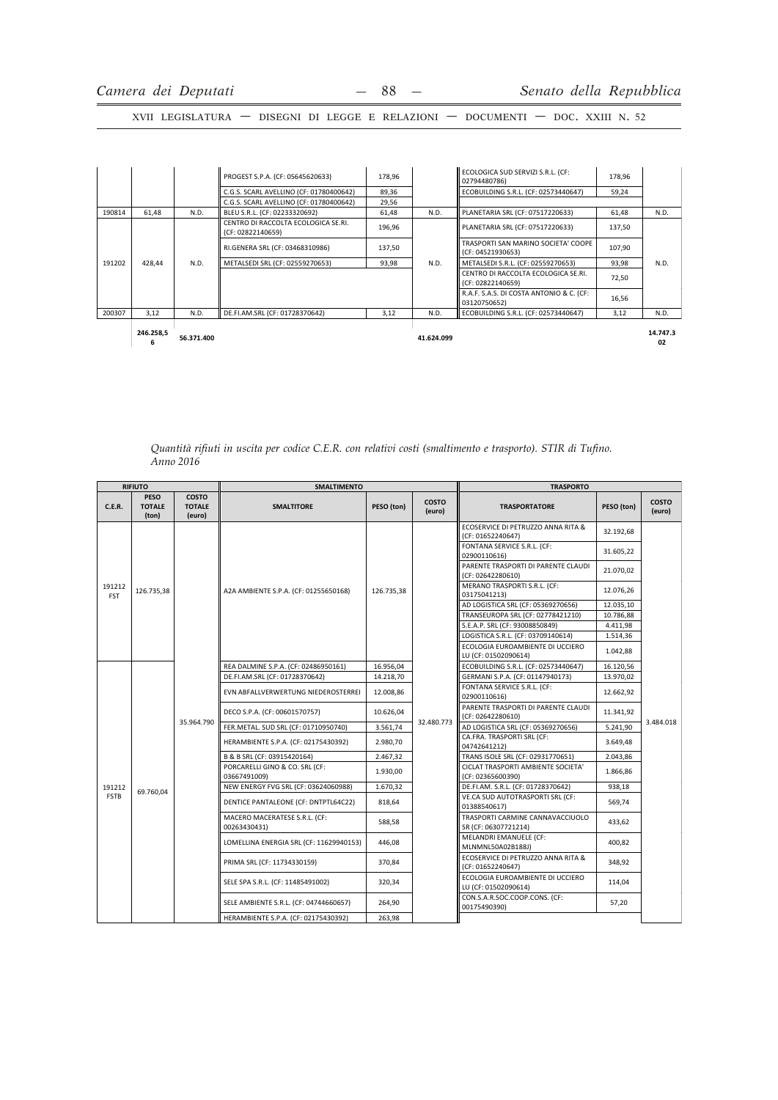$\overline{\phantom{0}}$ 

XVII LEGISLATURA - DISEGNI DI LEGGE E RELAZIONI - DOCUMENTI - DOC. XXIII N. 52

|        |           |            | PROGEST S.P.A. (CF: 05645620633)                         | 178,96 |            | ECOLOGICA SUD SERVIZI S.R.L. (CF:<br>02794480786)        | 178.96 |                |
|--------|-----------|------------|----------------------------------------------------------|--------|------------|----------------------------------------------------------|--------|----------------|
|        |           |            | C.G.S. SCARL AVELLINO (CF: 01780400642)                  | 89,36  |            | ECOBUILDING S.R.L. (CF: 02573440647)                     | 59,24  |                |
|        |           |            | C.G.S. SCARL AVELLINO (CF: 01780400642)                  | 29,56  |            |                                                          |        |                |
| 190814 | 61.48     | N.D.       | BLEU S.R.L. (CF: 02233320692)                            | 61,48  | N.D.       | PLANETARIA SRL (CF: 07517220633)                         | 61.48  | N.D.           |
|        |           |            | CENTRO DI RACCOLTA ECOLOGICA SE.RI.<br>(CF: 02822140659) | 196,96 |            | PLANETARIA SRL (CF: 07517220633)                         | 137,50 |                |
|        |           |            | RI.GENERA SRL (CF: 03468310986)                          | 137,50 |            | TRASPORTI SAN MARINO SOCIETA' COOPE<br>(CF: 04521930653) | 107,90 |                |
| 191202 | 428.44    | N.D.       | METALSEDI SRL (CF: 02559270653)                          | 93,98  | N.D.       | METALSEDI S.R.L. (CF: 02559270653)                       | 93.98  | N.D.           |
|        |           |            |                                                          |        |            | CENTRO DI RACCOLTA ECOLOGICA SE.RI.<br>(CF: 02822140659) | 72,50  |                |
|        |           |            |                                                          |        |            | R.A.F. S.A.S. DI COSTA ANTONIO & C. (CF:<br>03120750652) | 16,56  |                |
| 200307 | 3,12      | N.D.       | DE.FI.AM.SRL (CF: 01728370642)                           | 3,12   | N.D.       | ECOBUILDING S.R.L. (CF: 02573440647)                     | 3,12   | N.D.           |
|        | 246.258,5 | 56.371.400 |                                                          |        | 41.624.099 |                                                          |        | 14.747.3<br>02 |

Quantità rifiuti in uscita per codice C.E.R. con relativi costi (smaltimento e trasporto). STIR di Tufino. Anno 2016

|                      | <b>RIFIUTO</b>                        |                                         | <b>SMALTIMENTO</b>                             |            |                        | <b>TRASPORTO</b>                                         |                                                                                                                                                                                                       |                 |  |
|----------------------|---------------------------------------|-----------------------------------------|------------------------------------------------|------------|------------------------|----------------------------------------------------------|-------------------------------------------------------------------------------------------------------------------------------------------------------------------------------------------------------|-----------------|--|
| C.E.R.               | <b>PESO</b><br><b>TOTALE</b><br>(ton) | <b>COSTO</b><br><b>TOTALE</b><br>(euro) | <b>SMALTITORE</b>                              | PESO (ton) | <b>COSTO</b><br>(euro) | <b>TRASPORTATORE</b>                                     | PESO (ton)                                                                                                                                                                                            | COSTO<br>(euro) |  |
|                      |                                       |                                         |                                                |            |                        | ECOSERVICE DI PETRUZZO ANNA RITA &<br>(CF: 01652240647)  | 32.192,68                                                                                                                                                                                             |                 |  |
|                      |                                       |                                         |                                                |            |                        | FONTANA SERVICE S.R.L. (CF:<br>02900110616)              | 31.605,22<br>21.070.02<br>12.076,26<br>12.035,10<br>10.786.88<br>4.411,98<br>1.514,36<br>1.042.88<br>16.120.56<br>13.970,02<br>12.662,92<br>11.341,92<br>5.241,90<br>3.649,48<br>2.043,86<br>1.866.86 |                 |  |
|                      |                                       |                                         |                                                |            |                        | PARENTE TRASPORTI DI PARENTE CLAUDI<br>(CF: 02642280610) |                                                                                                                                                                                                       |                 |  |
| 191212<br><b>FST</b> | 126.735,38                            |                                         | A2A AMBIENTE S.P.A. (CF: 01255650168)          | 126.735,38 |                        | MERANO TRASPORTI S.R.L. (CF:<br>03175041213)             |                                                                                                                                                                                                       |                 |  |
|                      |                                       |                                         |                                                |            |                        | AD LOGISTICA SRL (CF: 05369270656)                       |                                                                                                                                                                                                       |                 |  |
|                      |                                       |                                         |                                                |            |                        | TRANSEUROPA SRL (CF: 02778421210)                        |                                                                                                                                                                                                       |                 |  |
|                      |                                       |                                         |                                                |            |                        | S.E.A.P. SRL (CF: 93008850849)                           |                                                                                                                                                                                                       |                 |  |
|                      |                                       |                                         |                                                |            |                        | LOGISTICA S.R.L. (CF: 03709140614)                       |                                                                                                                                                                                                       |                 |  |
|                      |                                       |                                         |                                                |            |                        | ECOLOGIA EUROAMBIENTE DI UCCIERO<br>LU (CF: 01502090614) |                                                                                                                                                                                                       |                 |  |
|                      |                                       |                                         | REA DALMINE S.P.A. (CF: 02486950161)           | 16.956.04  |                        | ECOBUILDING S.R.L. (CF: 02573440647)                     |                                                                                                                                                                                                       |                 |  |
|                      |                                       |                                         | DE.FI.AM.SRL (CF: 01728370642)                 | 14.218,70  |                        | GERMANI S.P.A. (CF: 01147940173)                         |                                                                                                                                                                                                       |                 |  |
|                      |                                       |                                         | EVN ABFALLVERWERTUNG NIEDEROSTERREI            | 12.008,86  |                        | FONTANA SERVICE S.R.L. (CF:<br>02900110616)              |                                                                                                                                                                                                       |                 |  |
|                      |                                       |                                         | DECO S.P.A. (CF: 00601570757)                  | 10.626,04  |                        | PARENTE TRASPORTI DI PARENTE CLAUDI<br>(CF: 02642280610) |                                                                                                                                                                                                       |                 |  |
|                      |                                       | 35.964.790                              | FER.METAL. SUD SRL (CF: 01710950740)           | 3.561,74   | 32.480.773             | AD LOGISTICA SRL (CF: 05369270656)                       |                                                                                                                                                                                                       | 3.484.018       |  |
|                      |                                       |                                         | HERAMBIENTE S.P.A. (CF: 02175430392)           | 2.980,70   |                        | CA.FRA. TRASPORTI SRL (CF:<br>04742641212)               |                                                                                                                                                                                                       |                 |  |
|                      |                                       |                                         | B & B SRL (CF: 03915420164)                    | 2.467,32   |                        | TRANS ISOLE SRL (CF: 02931770651)                        |                                                                                                                                                                                                       |                 |  |
|                      |                                       |                                         | PORCARELLI GINO & CO. SRL (CF:<br>03667491009) | 1.930,00   |                        | CICLAT TRASPORTI AMBIENTE SOCIETA'<br>(CF: 02365600390)  |                                                                                                                                                                                                       |                 |  |
| 191212               | 69.760,04                             |                                         | NEW ENERGY FVG SRL (CF: 03624060988)           | 1.670,32   |                        | DE.FI.AM. S.R.L. (CF: 01728370642)                       | 938.18                                                                                                                                                                                                |                 |  |
| <b>FSTB</b>          |                                       |                                         | DENTICE PANTALEONE (CF: DNTPTL64C22)           | 818,64     |                        | VE.CA SUD AUTOTRASPORTI SRL (CF:<br>01388540617)         | 569,74                                                                                                                                                                                                |                 |  |
|                      |                                       |                                         | MACERO MACERATESE S.R.L. (CF:<br>00263430431)  | 588,58     |                        | TRASPORTI CARMINE CANNAVACCIUOLO<br>SR (CF: 06307721214) | 433,62<br>400,82                                                                                                                                                                                      |                 |  |
|                      |                                       |                                         | LOMELLINA ENERGIA SRL (CF: 11629940153)        | 446,08     |                        | MELANDRI EMANUELE (CF:<br>MLNMNL50A02B188J)              |                                                                                                                                                                                                       |                 |  |
|                      |                                       |                                         | PRIMA SRL (CF: 11734330159)                    | 370,84     |                        | ECOSERVICE DI PETRUZZO ANNA RITA &<br>(CF: 01652240647)  | 348,92                                                                                                                                                                                                |                 |  |
|                      |                                       |                                         | SELE SPA S.R.L. (CF: 11485491002)              | 320,34     |                        | ECOLOGIA EUROAMBIENTE DI UCCIERO<br>LU (CF: 01502090614) | 114,04                                                                                                                                                                                                |                 |  |
|                      |                                       |                                         | SELE AMBIENTE S.R.L. (CF: 04744660657)         | 264,90     |                        | CON.S.A.R.SOC.COOP.CONS. (CF:<br>00175490390)            | 57,20                                                                                                                                                                                                 |                 |  |
|                      |                                       |                                         | HERAMBIENTE S.P.A. (CF: 02175430392)           | 263,98     |                        |                                                          |                                                                                                                                                                                                       |                 |  |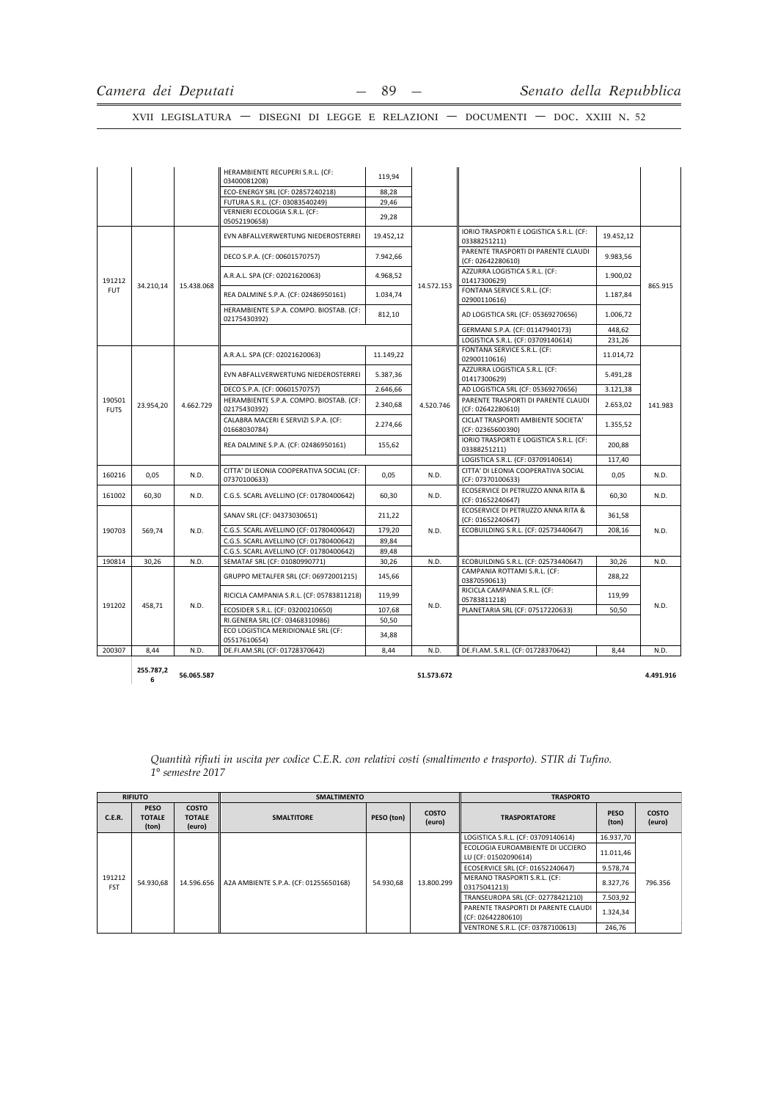$\overline{\phantom{0}}$ 

XVII LEGISLATURA - DISEGNI DI LEGGE E RELAZIONI - DOCUMENTI - DOC. XXIII N. 52

|                       |                |            | HERAMBIENTE RECUPERI S.R.L. (CF:                         |           |            |                                                          |           |           |
|-----------------------|----------------|------------|----------------------------------------------------------|-----------|------------|----------------------------------------------------------|-----------|-----------|
|                       |                |            | 03400081208)                                             | 119,94    |            |                                                          |           |           |
|                       |                |            | ECO-ENERGY SRL (CF: 02857240218)                         | 88.28     |            |                                                          |           |           |
|                       |                |            | FUTURA S.R.L. (CF: 03083540249)                          | 29,46     |            |                                                          |           |           |
|                       |                |            | VERNIERI ECOLOGIA S.R.L. (CF:<br>05052190658)            | 29,28     |            |                                                          |           |           |
|                       |                |            | EVN ABFALLVERWERTUNG NIEDEROSTERREI                      | 19.452.12 |            | IORIO TRASPORTI E LOGISTICA S.R.L. (CF:<br>03388251211)  | 19.452.12 |           |
|                       |                |            | DECO S.P.A. (CF: 00601570757)                            | 7.942,66  |            | PARENTE TRASPORTI DI PARENTE CLAUDI<br>(CF: 02642280610) | 9.983,56  |           |
| 191212                | 34.210,14      | 15.438.068 | A.R.A.L. SPA (CF: 02021620063)                           | 4.968,52  | 14.572.153 | AZZURRA LOGISTICA S.R.L. (CF:<br>01417300629)            | 1.900,02  | 865.915   |
| <b>FUT</b>            |                |            | REA DALMINE S.P.A. (CF: 02486950161)                     | 1.034,74  |            | FONTANA SERVICE S.R.L. (CF:<br>02900110616)              | 1.187,84  |           |
|                       |                |            | HERAMBIENTE S.P.A. COMPO. BIOSTAB. (CF:<br>02175430392)  | 812,10    |            | AD LOGISTICA SRL (CF: 05369270656)                       | 1.006.72  |           |
|                       |                |            |                                                          |           |            | GERMANI S.P.A. (CF: 01147940173)                         | 448.62    |           |
|                       |                |            |                                                          |           |            | LOGISTICA S.R.L. (CF: 03709140614)                       | 231,26    |           |
|                       |                |            | A.R.A.L. SPA (CF: 02021620063)                           | 11.149,22 |            | FONTANA SERVICE S.R.L. (CF:<br>02900110616)              | 11.014,72 |           |
|                       |                |            | EVN ABFALLVERWERTUNG NIEDEROSTERREI                      | 5.387,36  |            | AZZURRA LOGISTICA S.R.L. (CF:<br>01417300629)            | 5.491,28  |           |
|                       |                |            | DECO S.P.A. (CF: 00601570757)                            | 2.646.66  |            | AD LOGISTICA SRL (CF: 05369270656)                       | 3.121.38  |           |
| 190501<br><b>FUTS</b> | 23.954,20      | 4.662.729  | HERAMBIENTE S.P.A. COMPO. BIOSTAB. (CF:<br>02175430392)  | 2.340,68  | 4.520.746  | PARENTE TRASPORTI DI PARENTE CLAUDI<br>(CF: 02642280610) | 2.653,02  | 141.983   |
|                       |                |            | CALABRA MACERI E SERVIZI S.P.A. (CF:<br>01668030784)     | 2.274.66  |            | CICLAT TRASPORTI AMBIENTE SOCIETA'<br>(CF: 02365600390)  | 1.355,52  |           |
|                       |                |            | REA DALMINE S.P.A. (CF: 02486950161)                     | 155,62    |            | IORIO TRASPORTI E LOGISTICA S.R.L. (CF:<br>03388251211)  | 200,88    |           |
|                       |                |            |                                                          |           |            | LOGISTICA S.R.L. (CF: 03709140614)                       | 117,40    |           |
| 160216                | 0.05           | N.D.       | CITTA' DI LEONIA COOPERATIVA SOCIAL (CF:<br>07370100633) | 0.05      | N.D.       | CITTA' DI LEONIA COOPERATIVA SOCIAL<br>(CF: 07370100633) | 0.05      | N.D.      |
| 161002                | 60.30          | N.D.       | C.G.S. SCARL AVELLINO (CF: 01780400642)                  | 60.30     | N.D.       | ECOSERVICE DI PETRUZZO ANNA RITA &<br>(CF: 01652240647)  | 60.30     | N.D.      |
|                       |                |            | SANAV SRL (CF: 04373030651)                              | 211,22    |            | ECOSERVICE DI PETRUZZO ANNA RITA &<br>(CF: 01652240647)  | 361,58    |           |
| 190703                | 569.74         | N.D.       | C.G.S. SCARL AVELLINO (CF: 01780400642)                  | 179,20    | N.D.       | ECOBUILDING S.R.L. (CF: 02573440647)                     | 208,16    | N.D.      |
|                       |                |            | C.G.S. SCARL AVELLINO (CF: 01780400642)                  | 89.84     |            |                                                          |           |           |
|                       |                |            | C.G.S. SCARL AVELLINO (CF: 01780400642)                  | 89,48     |            |                                                          |           |           |
| 190814                | 30.26          | N.D.       | SEMATAF SRL (CF: 01080990771)                            | 30.26     | N.D.       | ECOBUILDING S.R.L. (CF: 02573440647)                     | 30.26     | N.D.      |
|                       |                |            | GRUPPO METALFER SRL (CF: 06972001215)                    | 145.66    |            | CAMPANIA ROTTAMI S.R.L. (CF:<br>03870590613)             | 288.22    |           |
| 191202                | 458.71         | N.D.       | RICICLA CAMPANIA S.R.L. (CF: 05783811218)                | 119,99    | N.D.       | RICICLA CAMPANIA S.R.L. (CF:<br>05783811218)             | 119,99    | N.D.      |
|                       |                |            | ECOSIDER S.R.L. (CF: 03200210650)                        | 107.68    |            | PLANETARIA SRL (CF: 07517220633)                         | 50.50     |           |
|                       |                |            | RI.GENERA SRL (CF: 03468310986)                          | 50,50     |            |                                                          |           |           |
|                       |                |            | ECO LOGISTICA MERIDIONALE SRL (CF:<br>05517610654)       | 34,88     |            |                                                          |           |           |
| 200307                | 8.44           | N.D.       | DE.FI.AM.SRL (CF: 01728370642)                           | 8.44      | N.D.       | DE.FI.AM. S.R.L. (CF: 01728370642)                       | 8.44      | N.D.      |
|                       | 255.787,2<br>6 | 56.065.587 |                                                          |           | 51.573.672 |                                                          |           | 4.491.916 |

Quantità rifiuti in uscita per codice C.E.R. con relativi costi (smaltimento e trasporto). STIR di Tufino.<br>1º semestre 2017

|                      | <b>RIFIUTO</b>                        |                                         | <b>SMALTIMENTO</b>                    |            |                        | <b>TRASPORTO</b>                                                                             |                      |                        |
|----------------------|---------------------------------------|-----------------------------------------|---------------------------------------|------------|------------------------|----------------------------------------------------------------------------------------------|----------------------|------------------------|
| C.E.R.               | <b>PESO</b><br><b>TOTALE</b><br>(ton) | <b>COSTO</b><br><b>TOTALE</b><br>(euro) | <b>SMALTITORE</b>                     | PESO (ton) | <b>COSTO</b><br>(euro) | <b>TRASPORTATORE</b>                                                                         | <b>PESO</b><br>(ton) | <b>COSTO</b><br>(euro) |
|                      |                                       |                                         |                                       |            |                        | LOGISTICA S.R.L. (CF: 03709140614)                                                           | 16.937,70            |                        |
|                      |                                       |                                         |                                       |            |                        | ECOLOGIA EUROAMBIENTE DI UCCIERO<br>LU (CF: 01502090614)<br>ECOSERVICE SRL (CF: 01652240647) | 11.011.46            |                        |
|                      |                                       |                                         |                                       |            |                        |                                                                                              | 9.578.74             |                        |
| 191212<br><b>FST</b> | 54.930,68                             | 14.596.656                              | A2A AMBIENTE S.P.A. (CF: 01255650168) | 54.930.68  | 13.800.299             | MERANO TRASPORTI S.R.L. (CF:<br>03175041213)                                                 | 8.327.76             | 796.356                |
|                      |                                       |                                         |                                       |            |                        | TRANSEUROPA SRL (CF: 02778421210)                                                            | 7.503,92             |                        |
|                      |                                       |                                         |                                       |            |                        | PARENTE TRASPORTI DI PARENTE CLAUDI<br>(CF: 02642280610)                                     | 1.324.34             |                        |
|                      |                                       |                                         |                                       |            |                        | VENTRONE S.R.L. (CF: 03787100613)                                                            | 246.76               |                        |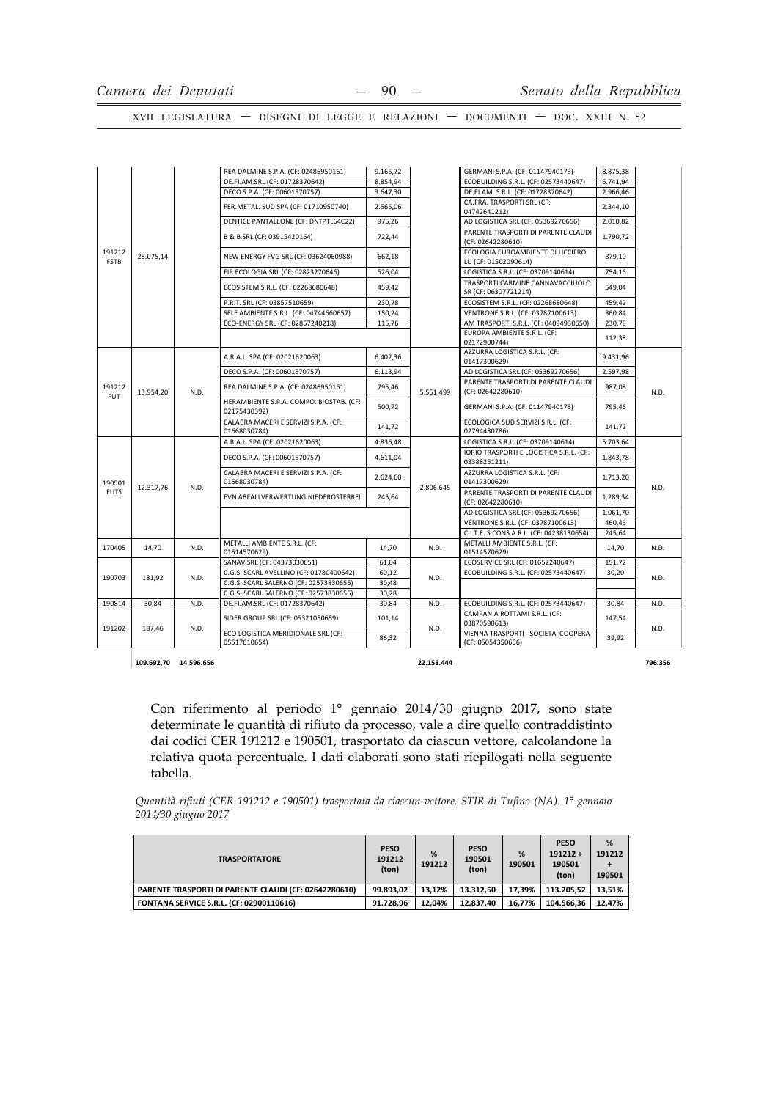|                       |           |      | REA DALMINE S.P.A. (CF: 02486950161)                    | 9.165,72 |           | GERMANI S.P.A. (CF: 01147940173)                         | 8.875,38                                                 |          |      |
|-----------------------|-----------|------|---------------------------------------------------------|----------|-----------|----------------------------------------------------------|----------------------------------------------------------|----------|------|
|                       |           |      | DE.FI.AM.SRL (CF: 01728370642)                          | 8.854.94 |           | ECOBUILDING S.R.L. (CF: 02573440647)                     | 6.741.94                                                 |          |      |
|                       |           |      | DECO S.P.A. (CF: 00601570757)                           | 3.647,30 |           | DE.FI.AM. S.R.L. (CF: 01728370642)                       | 2.966,46                                                 |          |      |
|                       |           |      | FER.METAL. SUD SPA (CF: 01710950740)                    | 2.565.06 |           | CA.FRA. TRASPORTI SRL (CF:<br>04742641212)               | 2.344,10                                                 |          |      |
|                       |           |      | DENTICE PANTALEONE (CF: DNTPTL64C22)                    | 975.26   |           | AD LOGISTICA SRL (CF: 05369270656)                       | 2.010.82                                                 |          |      |
|                       |           |      | B & B SRL (CF: 03915420164)                             | 722,44   |           | PARENTE TRASPORTI DI PARENTE CLAUDI<br>(CF: 02642280610) | 1.790,72                                                 |          |      |
| 191212<br><b>FSTB</b> | 28.075,14 |      | NEW ENERGY FVG SRL (CF: 03624060988)                    | 662,18   |           | ECOLOGIA EUROAMBIENTE DI UCCIERO<br>LU (CF: 01502090614) | 879,10                                                   |          |      |
|                       |           |      | FIR ECOLOGIA SRL (CF: 02823270646)                      | 526,04   |           | LOGISTICA S.R.L. (CF: 03709140614)                       | 754,16                                                   |          |      |
|                       |           |      | ECOSISTEM S.R.L. (CF: 02268680648)                      | 459,42   |           | TRASPORTI CARMINE CANNAVACCIUOLO<br>SR (CF: 06307721214) | 549,04                                                   |          |      |
|                       |           |      | P.R.T. SRL (CF: 03857510659)                            | 230,78   |           | ECOSISTEM S.R.L. (CF: 02268680648)                       | 459,42                                                   |          |      |
|                       |           |      | SELE AMBIENTE S.R.L. (CF: 04744660657)                  | 150,24   |           | VENTRONE S.R.L. (CF: 03787100613)                        | 360,84                                                   |          |      |
|                       |           |      | ECO-ENERGY SRL (CF: 02857240218)                        | 115,76   |           | AM TRASPORTI S.R.L. (CF: 04094930650)                    | 230,78                                                   |          |      |
|                       |           |      |                                                         |          |           | EUROPA AMBIENTE S.R.L. (CF:<br>02172900744)              | 112,38                                                   |          |      |
|                       | 13.954.20 |      | A.R.A.L. SPA (CF: 02021620063)                          | 6.402,36 |           | AZZURRA LOGISTICA S.R.L. (CF:<br>01417300629)            | 9.431,96                                                 |          |      |
|                       |           |      | DECO S.P.A. (CF: 00601570757)                           | 6.113,94 | 5.551.499 | AD LOGISTICA SRL (CF: 05369270656)                       | 2.597,98                                                 |          |      |
| 191212<br><b>FUT</b>  |           | N.D. | REA DALMINE S.P.A. (CF: 02486950161)                    | 795,46   |           | PARENTE TRASPORTI DI PARENTE CLAUDI<br>(CF: 02642280610) | 987,08                                                   | N.D.     |      |
|                       |           |      | HERAMBIENTE S.P.A. COMPO. BIOSTAB. (CF:<br>02175430392) | 500,72   |           | GERMANI S.P.A. (CF: 01147940173)                         | 795,46                                                   |          |      |
|                       |           |      | CALABRA MACERI E SERVIZI S.P.A. (CF:<br>01668030784)    | 141,72   |           | ECOLOGICA SUD SERVIZI S.R.L. (CF:<br>02794480786)        | 141,72                                                   |          |      |
|                       | 12.317,76 |      | A.R.A.L. SPA (CF: 02021620063)                          | 4.836,48 | 2.806.645 | LOGISTICA S.R.L. (CF: 03709140614)                       | 5.703,64                                                 |          |      |
|                       |           |      | DECO S.P.A. (CF: 00601570757)                           | 4.611,04 |           | IORIO TRASPORTI E LOGISTICA S.R.L. (CF:<br>03388251211)  | 1.843,78                                                 |          |      |
| 190501                |           |      | CALABRA MACERI E SERVIZI S.P.A. (CF:<br>01668030784)    | 2.624,60 |           |                                                          | AZZURRA LOGISTICA S.R.L. (CF:<br>01417300629)            | 1.713,20 |      |
| <b>FUTS</b>           |           | N.D. | EVN ABFALLVERWERTUNG NIEDEROSTERREI                     | 245,64   |           |                                                          | PARENTE TRASPORTI DI PARENTE CLAUDI<br>(CF: 02642280610) | 1.289,34 | N.D. |
|                       |           |      |                                                         |          |           | AD LOGISTICA SRL (CF: 05369270656)                       | 1.061,70                                                 |          |      |
|                       |           |      |                                                         |          |           | VENTRONE S.R.L. (CF: 03787100613)                        | 460,46                                                   |          |      |
|                       |           |      |                                                         |          |           | C.I.T.E. S.CONS.A R.L. (CF: 04238130654)                 | 245,64                                                   |          |      |
| 170405                | 14,70     | N.D. | METALLI AMBIENTE S.R.L. (CF:<br>01514570629)            | 14,70    | N.D.      | METALLI AMBIENTE S.R.L. (CF:<br>01514570629)             | 14,70                                                    | N.D.     |      |
|                       | 181,92    | N.D. | SANAV SRL (CF: 04373030651)                             | 61,04    |           | ECOSERVICE SRL (CF: 01652240647)                         | 151,72                                                   |          |      |
| 190703                |           |      | C.G.S. SCARL AVELLINO (CF: 01780400642)                 | 60.12    | N.D.      | ECOBUILDING S.R.L. (CF: 02573440647)                     | 30,20                                                    | N.D.     |      |
|                       |           |      | C.G.S. SCARL SALERNO (CF: 02573830656)                  | 30.48    |           |                                                          |                                                          |          |      |
|                       |           |      | C.G.S. SCARL SALERNO (CF: 02573830656)                  | 30,28    |           |                                                          |                                                          |          |      |
| 190814                | 30,84     | N.D. | DE.FI.AM.SRL (CF: 01728370642)                          | 30,84    | N.D.      | ECOBUILDING S.R.L. (CF: 02573440647)                     | 30,84                                                    | N.D.     |      |
| 191202                | 187,46    | N.D. | SIDER GROUP SRL (CF: 05321050659)                       | 101,14   | N.D.      | CAMPANIA ROTTAMI S.R.L. (CF:<br>03870590613)             | 147,54                                                   | N.D.     |      |
|                       |           |      | ECO LOGISTICA MERIDIONALE SRL (CF:<br>05517610654)      | 86,32    |           | VIENNA TRASPORTI - SOCIETA' COOPERA<br>(CF: 05054350656) | 39,92                                                    |          |      |

109.692,70 14.596.656

22.158.444

796.356

Con riferimento al periodo 1º gennaio 2014/30 giugno 2017, sono state determinate le quantità di rifiuto da processo, vale a dire quello contraddistinto dai codici CER 191212 e 190501, trasportato da ciascun vettore, calcolandone la relativa quota percentuale. I dati elaborati sono stati riepilogati nella seguente tabella.

Quantità rifiuti (CER 191212 e 190501) trasportata da ciascun vettore. STIR di Tufino (NA). 1º gennaio 2014/30 giugno 2017

| <b>TRASPORTATORE</b>                                  | <b>PESO</b><br>191212<br>(ton) | %<br>191212 | <b>PESO</b><br>190501<br>(ton) | %<br>190501 | <b>PESO</b><br>$191212 +$<br>190501<br>(ton) | %<br>191212<br>190501 |
|-------------------------------------------------------|--------------------------------|-------------|--------------------------------|-------------|----------------------------------------------|-----------------------|
| PARENTE TRASPORTI DI PARENTE CLAUDI (CF: 02642280610) | 99.893.02                      | 13.12%      | 13.312.50                      | 17.39%      | 113.205.52                                   | 13.51%                |
| <b>FONTANA SERVICE S.R.L. (CF: 02900110616)</b>       | 91.728.96                      | 12.04%      | 12.837.40                      | 16.77%      | 104.566.36                                   | 12.47%                |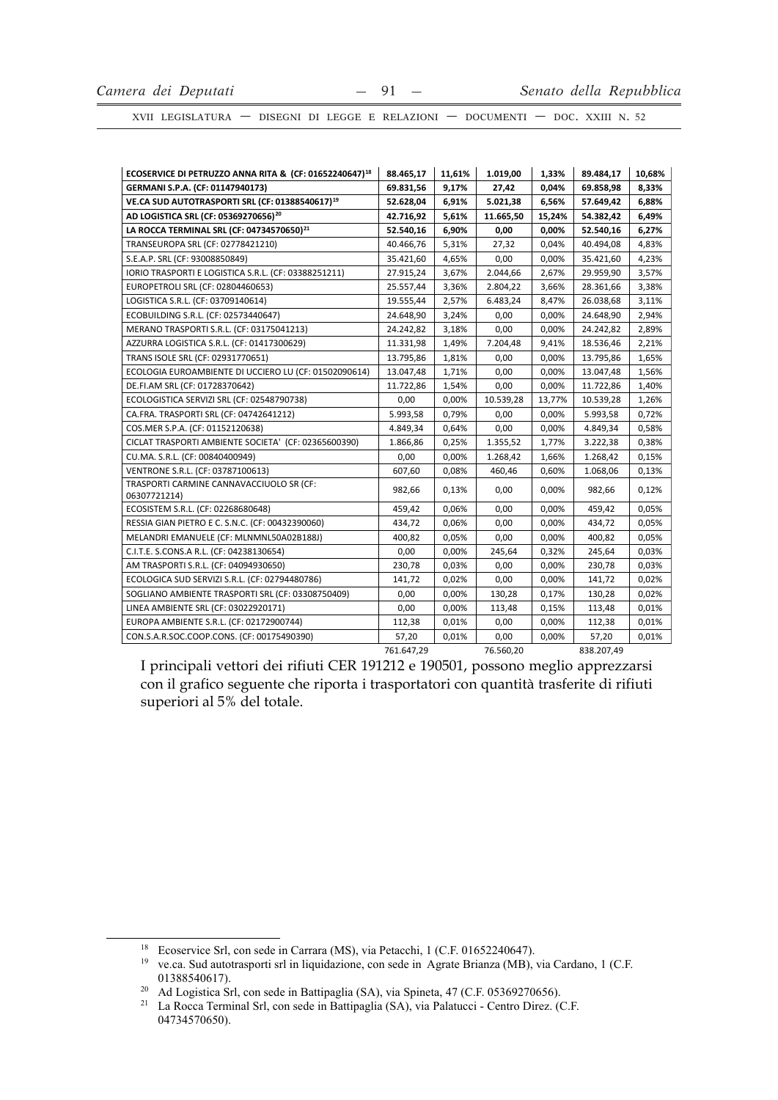| ECOSERVICE DI PETRUZZO ANNA RITA & (CF: 01652240647) <sup>18</sup> | 88.465,17  | 11,61% | 1.019,00  | 1,33%  | 89.484,17  | 10,68% |
|--------------------------------------------------------------------|------------|--------|-----------|--------|------------|--------|
| GERMANI S.P.A. (CF: 01147940173)                                   | 69.831,56  | 9,17%  | 27,42     | 0,04%  | 69.858,98  | 8,33%  |
| VE.CA SUD AUTOTRASPORTI SRL (CF: 01388540617) <sup>19</sup>        | 52.628,04  | 6,91%  | 5.021,38  | 6,56%  | 57.649,42  | 6,88%  |
| AD LOGISTICA SRL (CF: 05369270656) <sup>20</sup>                   | 42.716,92  | 5,61%  | 11.665,50 | 15,24% | 54.382,42  | 6,49%  |
| LA ROCCA TERMINAL SRL (CF: 04734570650) <sup>21</sup>              | 52.540,16  | 6,90%  | 0,00      | 0,00%  | 52.540,16  | 6,27%  |
| TRANSEUROPA SRL (CF: 02778421210)                                  | 40.466,76  | 5,31%  | 27,32     | 0,04%  | 40.494,08  | 4,83%  |
| S.E.A.P. SRL (CF: 93008850849)                                     | 35.421,60  | 4,65%  | 0,00      | 0,00%  | 35.421,60  | 4,23%  |
| IORIO TRASPORTI E LOGISTICA S.R.L. (CF: 03388251211)               | 27.915,24  | 3,67%  | 2.044,66  | 2,67%  | 29.959,90  | 3,57%  |
| EUROPETROLI SRL (CF: 02804460653)                                  | 25.557,44  | 3,36%  | 2.804,22  | 3,66%  | 28.361,66  | 3,38%  |
| LOGISTICA S.R.L. (CF: 03709140614)                                 | 19.555,44  | 2,57%  | 6.483,24  | 8,47%  | 26.038,68  | 3,11%  |
| ECOBUILDING S.R.L. (CF: 02573440647)                               | 24.648,90  | 3,24%  | 0,00      | 0,00%  | 24.648,90  | 2,94%  |
| MERANO TRASPORTI S.R.L. (CF: 03175041213)                          | 24.242,82  | 3,18%  | 0,00      | 0,00%  | 24.242,82  | 2,89%  |
| AZZURRA LOGISTICA S.R.L. (CF: 01417300629)                         | 11.331,98  | 1,49%  | 7.204,48  | 9,41%  | 18.536,46  | 2,21%  |
| TRANS ISOLE SRL (CF: 02931770651)                                  | 13.795,86  | 1,81%  | 0,00      | 0,00%  | 13.795,86  | 1,65%  |
| ECOLOGIA EUROAMBIENTE DI UCCIERO LU (CF: 01502090614)              | 13.047,48  | 1,71%  | 0,00      | 0,00%  | 13.047,48  | 1,56%  |
| DE.FI.AM SRL (CF: 01728370642)                                     | 11.722,86  | 1,54%  | 0,00      | 0,00%  | 11.722,86  | 1,40%  |
| ECOLOGISTICA SERVIZI SRL (CF: 02548790738)                         | 0,00       | 0,00%  | 10.539,28 | 13,77% | 10.539,28  | 1,26%  |
| CA.FRA. TRASPORTI SRL (CF: 04742641212)                            | 5.993,58   | 0,79%  | 0,00      | 0,00%  | 5.993,58   | 0,72%  |
| COS.MER S.P.A. (CF: 01152120638)                                   | 4.849,34   | 0,64%  | 0,00      | 0,00%  | 4.849,34   | 0,58%  |
| CICLAT TRASPORTI AMBIENTE SOCIETA' (CF: 02365600390)               | 1.866,86   | 0,25%  | 1.355,52  | 1,77%  | 3.222,38   | 0,38%  |
| CU.MA. S.R.L. (CF: 00840400949)                                    | 0,00       | 0,00%  | 1.268,42  | 1,66%  | 1.268,42   | 0,15%  |
| VENTRONE S.R.L. (CF: 03787100613)                                  | 607,60     | 0,08%  | 460,46    | 0,60%  | 1.068,06   | 0,13%  |
| TRASPORTI CARMINE CANNAVACCIUOLO SR (CF:<br>06307721214)           | 982,66     | 0,13%  | 0,00      | 0.00%  | 982,66     | 0,12%  |
| ECOSISTEM S.R.L. (CF: 02268680648)                                 | 459,42     | 0,06%  | 0,00      | 0,00%  | 459,42     | 0,05%  |
| RESSIA GIAN PIETRO E C. S.N.C. (CF: 00432390060)                   | 434,72     | 0,06%  | 0,00      | 0,00%  | 434,72     | 0,05%  |
| MELANDRI EMANUELE (CF: MLNMNL50A02B188J)                           | 400,82     | 0,05%  | 0,00      | 0,00%  | 400,82     | 0,05%  |
| C.I.T.E. S.CONS.A R.L. (CF: 04238130654)                           | 0,00       | 0,00%  | 245,64    | 0,32%  | 245,64     | 0,03%  |
| AM TRASPORTI S.R.L. (CF: 04094930650)                              | 230,78     | 0,03%  | 0,00      | 0,00%  | 230,78     | 0,03%  |
| ECOLOGICA SUD SERVIZI S.R.L. (CF: 02794480786)                     | 141,72     | 0,02%  | 0,00      | 0,00%  | 141,72     | 0,02%  |
| SOGLIANO AMBIENTE TRASPORTI SRL (CF: 03308750409)                  | 0,00       | 0,00%  | 130,28    | 0,17%  | 130,28     | 0,02%  |
| LINEA AMBIENTE SRL (CF: 03022920171)                               | 0,00       | 0,00%  | 113,48    | 0,15%  | 113,48     | 0,01%  |
| EUROPA AMBIENTE S.R.L. (CF: 02172900744)                           | 112,38     | 0,01%  | 0,00      | 0,00%  | 112,38     | 0,01%  |
| CON.S.A.R.SOC.COOP.CONS. (CF: 00175490390)                         | 57,20      | 0,01%  | 0,00      | 0,00%  | 57,20      | 0,01%  |
|                                                                    | 761.647.29 |        | 76.560.20 |        | 838.207.49 |        |

I principali vettori dei rifiuti CER 191212 e 190501, possono meglio apprezzarsi con il grafico seguente che riporta i trasportatori con quantità trasferite di rifiuti superiori al 5% del totale.

<sup>&</sup>lt;sup>18</sup> Ecoservice Srl, con sede in Carrara (MS), via Petacchi, 1 (C.F. 01652240647).

<sup>&</sup>lt;sup>19</sup> ve.ca. Sud autotrasporti srl in liquidazione, con sede in Agrate Brianza (MB), via Cardano, 1 (C.F. 01388540617).

<sup>&</sup>lt;sup>20</sup> Ad Logistica Srl, con sede in Battipaglia (SA), via Spineta, 47 (C.F. 05369270656).

<sup>&</sup>lt;sup>21</sup> La Rocca Terminal Srl, con sede in Battipaglia (SA), via Palatucci - Centro Direz. (C.F. 04734570650).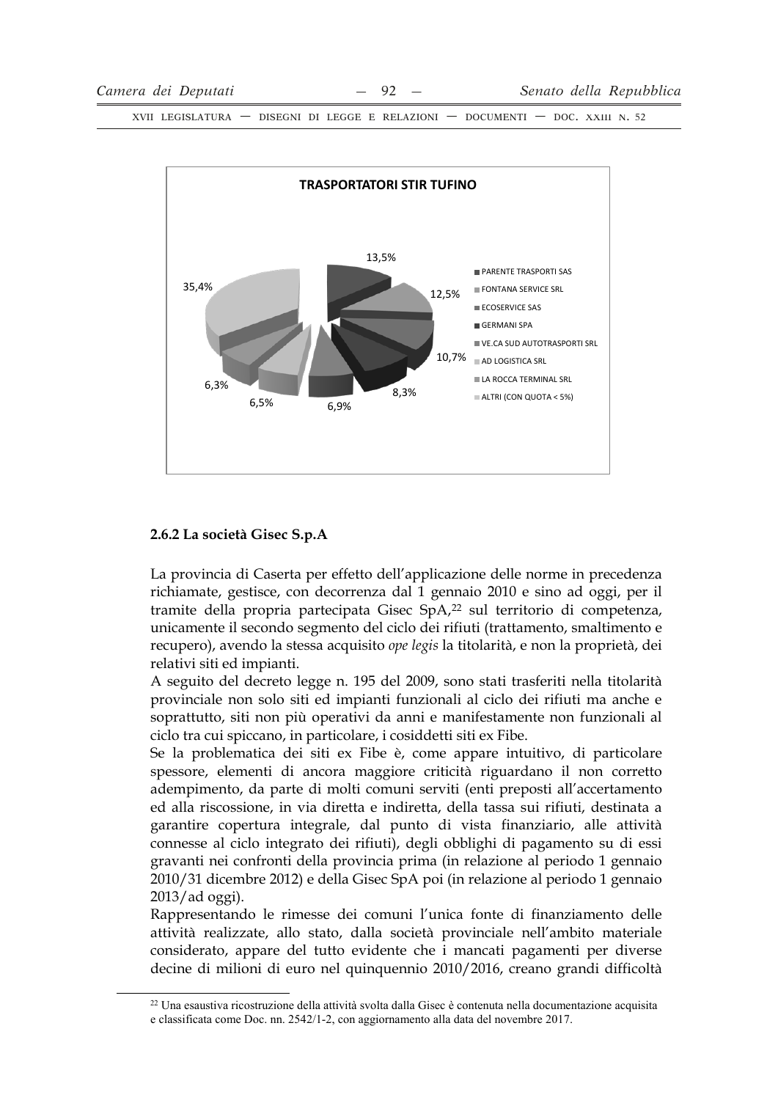

## **2.6.2 La società Gisec S.p.A**

La provincia di Caserta per effetto dell'applicazione delle norme in precedenza richiamate, gestisce, con decorrenza dal 1 gennaio 2010 e sino ad oggi, per il tramite della propria partecipata Gisec SpA,22 sul territorio di competenza, unicamente il secondo segmento del ciclo dei rifiuti (trattamento, smaltimento e recupero), avendo la stessa acquisito *ope legis* la titolarità, e non la proprietà, dei relativi siti ed impianti.

A seguito del decreto legge n. 195 del 2009, sono stati trasferiti nella titolarità provinciale non solo siti ed impianti funzionali al ciclo dei rifiuti ma anche e soprattutto, siti non più operativi da anni e manifestamente non funzionali al ciclo tra cui spiccano, in particolare, i cosiddetti siti ex Fibe.

Se la problematica dei siti ex Fibe è, come appare intuitivo, di particolare spessore, elementi di ancora maggiore criticità riguardano il non corretto adempimento, da parte di molti comuni serviti (enti preposti all'accertamento ed alla riscossione, in via diretta e indiretta, della tassa sui rifiuti, destinata a garantire copertura integrale, dal punto di vista finanziario, alle attività connesse al ciclo integrato dei rifiuti), degli obblighi di pagamento su di essi gravanti nei confronti della provincia prima (in relazione al periodo 1 gennaio 2010/31 dicembre 2012) e della Gisec SpA poi (in relazione al periodo 1 gennaio 2013/ad oggi).

Rappresentando le rimesse dei comuni l'unica fonte di finanziamento delle attività realizzate, allo stato, dalla società provinciale nell'ambito materiale considerato, appare del tutto evidente che i mancati pagamenti per diverse decine di milioni di euro nel quinquennio 2010/2016, creano grandi difficoltà

<sup>22</sup> Una esaustiva ricostruzione della attività svolta dalla Gisec è contenuta nella documentazione acquisita e classificata come Doc. nn. 2542/1-2, con aggiornamento alla data del novembre 2017.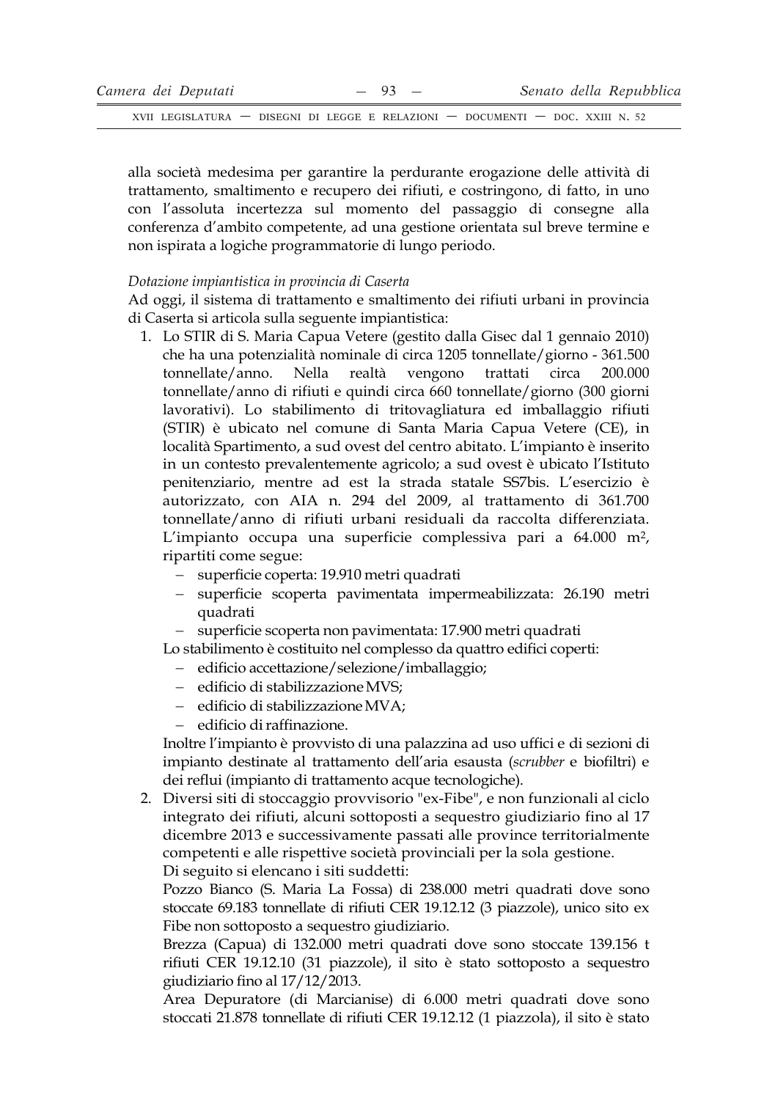| Camera dei Deputati |  |  | Senato della Repubblica |
|---------------------|--|--|-------------------------|
|                     |  |  |                         |

alla società medesima per garantire la perdurante erogazione delle attività di trattamento, smaltimento e recupero dei rifiuti, e costringono, di fatto, in uno con l'assoluta incertezza sul momento del passaggio di consegne alla conferenza d'ambito competente, ad una gestione orientata sul breve termine e non ispirata a logiche programmatorie di lungo periodo.

## Dotazione impiantistica in provincia di Caserta

Ad oggi, il sistema di trattamento e smaltimento dei rifiuti urbani in provincia di Caserta si articola sulla seguente impiantistica:

- 1. Lo STIR di S. Maria Capua Vetere (gestito dalla Gisec dal 1 gennaio 2010) che ha una potenzialità nominale di circa 1205 tonnellate/giorno - 361.500 tonnellate/anno. Nella realtà vengono trattati circa 200.000 tonnellate/anno di rifiuti e quindi circa 660 tonnellate/giorno (300 giorni lavorativi). Lo stabilimento di tritovagliatura ed imballaggio rifiuti (STIR) è ubicato nel comune di Santa Maria Capua Vetere (CE), in località Spartimento, a sud ovest del centro abitato. L'impianto è inserito in un contesto prevalentemente agricolo; a sud ovest è ubicato l'Istituto penitenziario, mentre ad est la strada statale SS7bis. L'esercizio è autorizzato, con AIA n. 294 del 2009, al trattamento di 361.700 tonnellate/anno di rifiuti urbani residuali da raccolta differenziata. L'impianto occupa una superficie complessiva pari a  $64.000$  m<sup>2</sup>, ripartiti come segue:
	- superficie coperta: 19.910 metri quadrati
	- superficie scoperta pavimentata impermeabilizzata: 26.190 metri quadrati
	- superficie scoperta non pavimentata: 17.900 metri quadrati

Lo stabilimento è costituito nel complesso da quattro edifici coperti:

- edificio accettazione/selezione/imballaggio;
- edificio di stabilizzazione MVS;
- edificio di stabilizzazione MVA;
- edificio di raffinazione.

Inoltre l'impianto è provvisto di una palazzina ad uso uffici e di sezioni di impianto destinate al trattamento dell'aria esausta (scrubber e biofiltri) e dei reflui (impianto di trattamento acque tecnologiche).

2. Diversi siti di stoccaggio provvisorio "ex-Fibe", e non funzionali al ciclo integrato dei rifiuti, alcuni sottoposti a sequestro giudiziario fino al 17 dicembre 2013 e successivamente passati alle province territorialmente competenti e alle rispettive società provinciali per la sola gestione. Di seguito si elencano i siti suddetti:

Pozzo Bianco (S. Maria La Fossa) di 238.000 metri quadrati dove sono stoccate 69.183 tonnellate di rifiuti CER 19.12.12 (3 piazzole), unico sito ex Fibe non sottoposto a sequestro giudiziario.

Brezza (Capua) di 132.000 metri quadrati dove sono stoccate 139.156 t rifiuti CER 19.12.10 (31 piazzole), il sito è stato sottoposto a sequestro giudiziario fino al 17/12/2013.

Area Depuratore (di Marcianise) di 6.000 metri quadrati dove sono stoccati 21.878 tonnellate di rifiuti CER 19.12.12 (1 piazzola), il sito è stato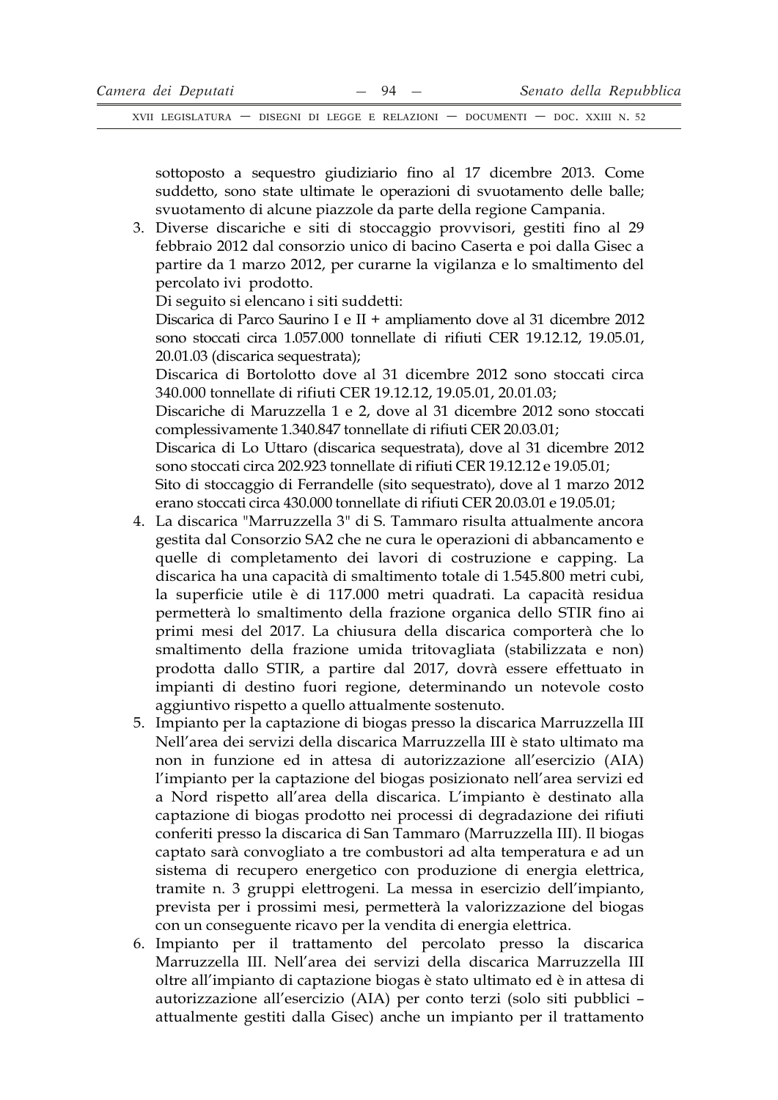sottoposto a sequestro giudiziario fino al 17 dicembre 2013. Come suddetto, sono state ultimate le operazioni di svuotamento delle balle; svuotamento di alcune piazzole da parte della regione Campania.

3. Diverse discariche e siti di stoccaggio provvisori, gestiti fino al 29 febbraio 2012 dal consorzio unico di bacino Caserta e poi dalla Gisec a partire da 1 marzo 2012, per curarne la vigilanza e lo smaltimento del percolato ivi prodotto.

Di seguito si elencano i siti suddetti:

Discarica di Parco Saurino I e II + ampliamento dove al 31 dicembre 2012 sono stoccati circa 1.057.000 tonnellate di rifiuti CER 19.12.12, 19.05.01, 20.01.03 (discarica sequestrata);

Discarica di Bortolotto dove al 31 dicembre 2012 sono stoccati circa 340.000 tonnellate di rifiuti CER 19.12.12, 19.05.01, 20.01.03;

Discariche di Maruzzella 1 e 2, dove al 31 dicembre 2012 sono stoccati complessivamente 1.340.847 tonnellate di rifiuti CER 20.03.01;

Discarica di Lo Uttaro (discarica sequestrata), dove al 31 dicembre 2012 sono stoccati circa 202.923 tonnellate di rifiuti CER 19.12.12 e 19.05.01;

Sito di stoccaggio di Ferrandelle (sito sequestrato), dove al 1 marzo 2012 erano stoccati circa 430.000 tonnellate di rifiuti CER 20.03.01 e 19.05.01;

- 4. La discarica "Marruzzella 3" di S. Tammaro risulta attualmente ancora gestita dal Consorzio SA2 che ne cura le operazioni di abbancamento e quelle di completamento dei lavori di costruzione e capping. La discarica ha una capacità di smaltimento totale di 1.545.800 metri cubi, la superficie utile è di 117.000 metri quadrati. La capacità residua permetterà lo smaltimento della frazione organica dello STIR fino ai primi mesi del 2017. La chiusura della discarica comporterà che lo smaltimento della frazione umida tritovagliata (stabilizzata e non) prodotta dallo STIR, a partire dal 2017, dovrà essere effettuato in impianti di destino fuori regione, determinando un notevole costo aggiuntivo rispetto a quello attualmente sostenuto.
- 5. Impianto per la captazione di biogas presso la discarica Marruzzella III Nell'area dei servizi della discarica Marruzzella III è stato ultimato ma non in funzione ed in attesa di autorizzazione all'esercizio (AIA) l'impianto per la captazione del biogas posizionato nell'area servizi ed a Nord rispetto all'area della discarica. L'impianto è destinato alla captazione di biogas prodotto nei processi di degradazione dei rifiuti conferiti presso la discarica di San Tammaro (Marruzzella III). Il biogas captato sarà convogliato a tre combustori ad alta temperatura e ad un sistema di recupero energetico con produzione di energia elettrica, tramite n. 3 gruppi elettrogeni. La messa in esercizio dell'impianto, prevista per i prossimi mesi, permetterà la valorizzazione del biogas con un conseguente ricavo per la vendita di energia elettrica.
- 6. Impianto per il trattamento del percolato presso la discarica Marruzzella III. Nell'area dei servizi della discarica Marruzzella III oltre all'impianto di captazione biogas è stato ultimato ed è in attesa di autorizzazione all'esercizio (AIA) per conto terzi (solo siti pubblici attualmente gestiti dalla Gisec) anche un impianto per il trattamento

94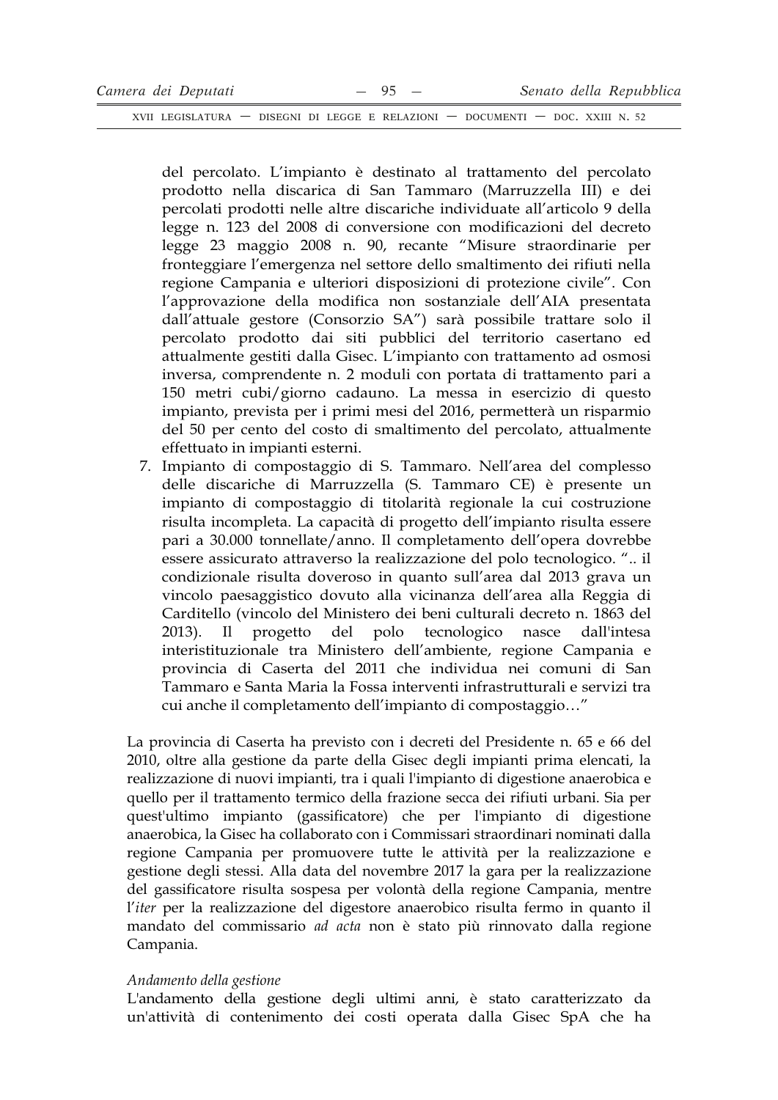95

del percolato. L'impianto è destinato al trattamento del percolato prodotto nella discarica di San Tammaro (Marruzzella III) e dei percolati prodotti nelle altre discariche individuate all'articolo 9 della legge n. 123 del 2008 di conversione con modificazioni del decreto legge 23 maggio 2008 n. 90, recante "Misure straordinarie per fronteggiare l'emergenza nel settore dello smaltimento dei rifiuti nella regione Campania e ulteriori disposizioni di protezione civile". Con l'approvazione della modifica non sostanziale dell'AIA presentata dall'attuale gestore (Consorzio SA") sarà possibile trattare solo il percolato prodotto dai siti pubblici del territorio casertano ed attualmente gestiti dalla Gisec. L'impianto con trattamento ad osmosi inversa, comprendente n. 2 moduli con portata di trattamento pari a 150 metri cubi/giorno cadauno. La messa in esercizio di questo impianto, prevista per i primi mesi del 2016, permetterà un risparmio del 50 per cento del costo di smaltimento del percolato, attualmente effettuato in impianti esterni.

7. Impianto di compostaggio di S. Tammaro. Nell'area del complesso delle discariche di Marruzzella (S. Tammaro CE) è presente un impianto di compostaggio di titolarità regionale la cui costruzione risulta incompleta. La capacità di progetto dell'impianto risulta essere pari a 30.000 tonnellate/anno. Il completamento dell'opera dovrebbe essere assicurato attraverso la realizzazione del polo tecnologico. ".. il condizionale risulta doveroso in quanto sull'area dal 2013 grava un vincolo paesaggistico dovuto alla vicinanza dell'area alla Reggia di Carditello (vincolo del Ministero dei beni culturali decreto n. 1863 del progetto tecnologico  $2013$ ).  $\rm{II}$ del polo nasce dall'intesa interistituzionale tra Ministero dell'ambiente, regione Campania e provincia di Caserta del 2011 che individua nei comuni di San Tammaro e Santa Maria la Fossa interventi infrastrutturali e servizi tra cui anche il completamento dell'impianto di compostaggio..."

La provincia di Caserta ha previsto con i decreti del Presidente n. 65 e 66 del 2010, oltre alla gestione da parte della Gisec degli impianti prima elencati, la realizzazione di nuovi impianti, tra i quali l'impianto di digestione anaerobica e quello per il trattamento termico della frazione secca dei rifiuti urbani. Sia per quest'ultimo impianto (gassificatore) che per l'impianto di digestione anaerobica, la Gisec ha collaborato con i Commissari straordinari nominati dalla regione Campania per promuovere tutte le attività per la realizzazione e gestione degli stessi. Alla data del novembre 2017 la gara per la realizzazione del gassificatore risulta sospesa per volontà della regione Campania, mentre l'iter per la realizzazione del digestore anaerobico risulta fermo in quanto il mandato del commissario ad acta non è stato più rinnovato dalla regione Campania.

## Andamento della gestione

L'andamento della gestione degli ultimi anni, è stato caratterizzato da un'attività di contenimento dei costi operata dalla Gisec SpA che ha